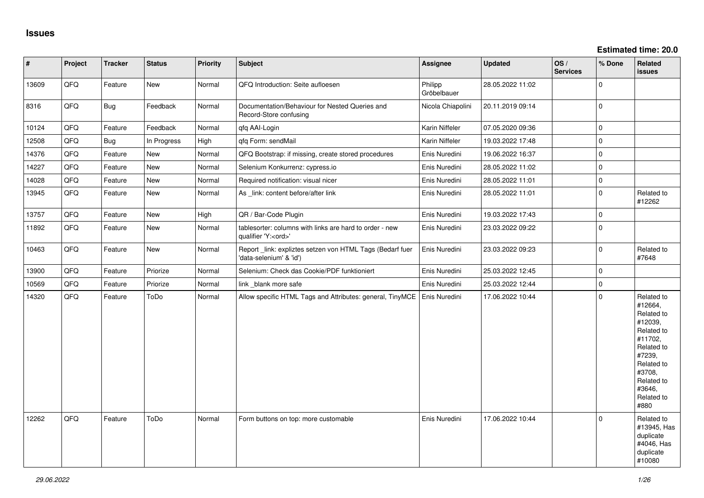| $\vert$ # | Project | <b>Tracker</b> | <b>Status</b> | <b>Priority</b> | <b>Subject</b>                                                                        | Assignee               | <b>Updated</b>   | OS/<br><b>Services</b> | % Done      | Related<br><b>issues</b>                                                                                                                                              |
|-----------|---------|----------------|---------------|-----------------|---------------------------------------------------------------------------------------|------------------------|------------------|------------------------|-------------|-----------------------------------------------------------------------------------------------------------------------------------------------------------------------|
| 13609     | QFQ     | Feature        | New           | Normal          | QFQ Introduction: Seite aufloesen                                                     | Philipp<br>Gröbelbauer | 28.05.2022 11:02 |                        | $\Omega$    |                                                                                                                                                                       |
| 8316      | QFQ     | <b>Bug</b>     | Feedback      | Normal          | Documentation/Behaviour for Nested Queries and<br>Record-Store confusing              | Nicola Chiapolini      | 20.11.2019 09:14 |                        | $\Omega$    |                                                                                                                                                                       |
| 10124     | QFQ     | Feature        | Feedback      | Normal          | qfq AAI-Login                                                                         | Karin Niffeler         | 07.05.2020 09:36 |                        | $\mathbf 0$ |                                                                                                                                                                       |
| 12508     | QFQ     | <b>Bug</b>     | In Progress   | High            | qfq Form: sendMail                                                                    | Karin Niffeler         | 19.03.2022 17:48 |                        | $\Omega$    |                                                                                                                                                                       |
| 14376     | QFQ     | Feature        | New           | Normal          | QFQ Bootstrap: if missing, create stored procedures                                   | Enis Nuredini          | 19.06.2022 16:37 |                        | $\mathbf 0$ |                                                                                                                                                                       |
| 14227     | QFQ     | Feature        | New           | Normal          | Selenium Konkurrenz: cypress.io                                                       | Enis Nuredini          | 28.05.2022 11:02 |                        | l 0         |                                                                                                                                                                       |
| 14028     | QFQ     | Feature        | New           | Normal          | Required notification: visual nicer                                                   | Enis Nuredini          | 28.05.2022 11:01 |                        | l 0         |                                                                                                                                                                       |
| 13945     | QFQ     | Feature        | <b>New</b>    | Normal          | As _link: content before/after link                                                   | Enis Nuredini          | 28.05.2022 11:01 |                        | $\Omega$    | Related to<br>#12262                                                                                                                                                  |
| 13757     | QFQ     | Feature        | <b>New</b>    | High            | QR / Bar-Code Plugin                                                                  | Enis Nuredini          | 19.03.2022 17:43 |                        | $\Omega$    |                                                                                                                                                                       |
| 11892     | QFQ     | Feature        | <b>New</b>    | Normal          | tablesorter: columns with links are hard to order - new<br>qualifier 'Y: <ord>'</ord> | Enis Nuredini          | 23.03.2022 09:22 |                        | l o         |                                                                                                                                                                       |
| 10463     | QFQ     | Feature        | New           | Normal          | Report_link: expliztes setzen von HTML Tags (Bedarf fuer<br>'data-selenium' & 'id')   | Enis Nuredini          | 23.03.2022 09:23 |                        | $\Omega$    | Related to<br>#7648                                                                                                                                                   |
| 13900     | QFQ     | Feature        | Priorize      | Normal          | Selenium: Check das Cookie/PDF funktioniert                                           | Enis Nuredini          | 25.03.2022 12:45 |                        | $\Omega$    |                                                                                                                                                                       |
| 10569     | QFQ     | Feature        | Priorize      | Normal          | link _blank more safe                                                                 | Enis Nuredini          | 25.03.2022 12:44 |                        | l O         |                                                                                                                                                                       |
| 14320     | QFQ     | Feature        | ToDo          | Normal          | Allow specific HTML Tags and Attributes: general, TinyMCE                             | Enis Nuredini          | 17.06.2022 10:44 |                        | $\Omega$    | Related to<br>#12664,<br>Related to<br>#12039,<br>Related to<br>#11702,<br>Related to<br>#7239,<br>Related to<br>#3708,<br>Related to<br>#3646,<br>Related to<br>#880 |
| 12262     | QFQ     | Feature        | ToDo          | Normal          | Form buttons on top: more customable                                                  | Enis Nuredini          | 17.06.2022 10:44 |                        | $\Omega$    | Related to<br>#13945, Has<br>duplicate<br>#4046, Has<br>duplicate<br>#10080                                                                                           |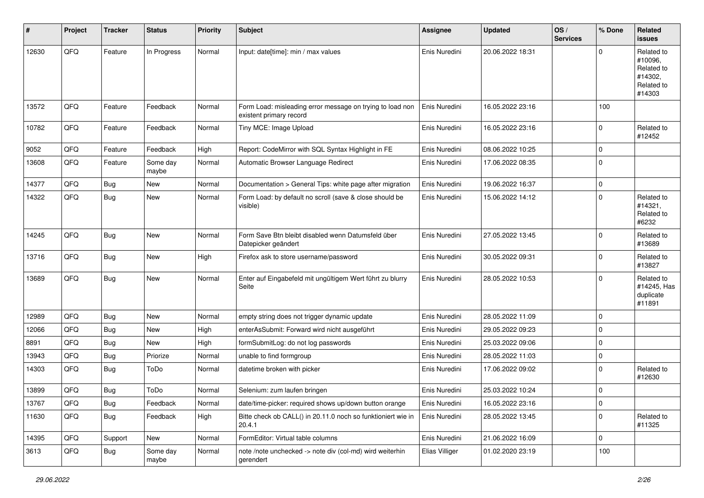| #     | Project | <b>Tracker</b> | <b>Status</b>     | <b>Priority</b> | <b>Subject</b>                                                                       | <b>Assignee</b> | <b>Updated</b>   | OS/<br><b>Services</b> | % Done      | Related<br>issues                                                      |
|-------|---------|----------------|-------------------|-----------------|--------------------------------------------------------------------------------------|-----------------|------------------|------------------------|-------------|------------------------------------------------------------------------|
| 12630 | QFQ     | Feature        | In Progress       | Normal          | Input: date[time]: min / max values                                                  | Enis Nuredini   | 20.06.2022 18:31 |                        | $\Omega$    | Related to<br>#10096.<br>Related to<br>#14302,<br>Related to<br>#14303 |
| 13572 | QFQ     | Feature        | Feedback          | Normal          | Form Load: misleading error message on trying to load non<br>existent primary record | Enis Nuredini   | 16.05.2022 23:16 |                        | 100         |                                                                        |
| 10782 | QFQ     | Feature        | Feedback          | Normal          | Tiny MCE: Image Upload                                                               | Enis Nuredini   | 16.05.2022 23:16 |                        | $\mathbf 0$ | Related to<br>#12452                                                   |
| 9052  | QFQ     | Feature        | Feedback          | High            | Report: CodeMirror with SQL Syntax Highlight in FE                                   | Enis Nuredini   | 08.06.2022 10:25 |                        | $\mathbf 0$ |                                                                        |
| 13608 | QFQ     | Feature        | Some day<br>maybe | Normal          | Automatic Browser Language Redirect                                                  | Enis Nuredini   | 17.06.2022 08:35 |                        | $\pmb{0}$   |                                                                        |
| 14377 | QFQ     | <b>Bug</b>     | <b>New</b>        | Normal          | Documentation > General Tips: white page after migration                             | Enis Nuredini   | 19.06.2022 16:37 |                        | $\mathbf 0$ |                                                                        |
| 14322 | QFQ     | <b>Bug</b>     | <b>New</b>        | Normal          | Form Load: by default no scroll (save & close should be<br>visible)                  | Enis Nuredini   | 15.06.2022 14:12 |                        | $\mathbf 0$ | Related to<br>#14321,<br>Related to<br>#6232                           |
| 14245 | QFQ     | <b>Bug</b>     | New               | Normal          | Form Save Btn bleibt disabled wenn Datumsfeld über<br>Datepicker geändert            | Enis Nuredini   | 27.05.2022 13:45 |                        | $\mathbf 0$ | Related to<br>#13689                                                   |
| 13716 | QFQ     | <b>Bug</b>     | New               | High            | Firefox ask to store username/password                                               | Enis Nuredini   | 30.05.2022 09:31 |                        | $\mathbf 0$ | Related to<br>#13827                                                   |
| 13689 | QFQ     | <b>Bug</b>     | <b>New</b>        | Normal          | Enter auf Eingabefeld mit ungültigem Wert führt zu blurry<br>Seite                   | Enis Nuredini   | 28.05.2022 10:53 |                        | $\mathbf 0$ | Related to<br>#14245, Has<br>duplicate<br>#11891                       |
| 12989 | QFQ     | Bug            | New               | Normal          | empty string does not trigger dynamic update                                         | Enis Nuredini   | 28.05.2022 11:09 |                        | $\mathbf 0$ |                                                                        |
| 12066 | QFQ     | Bug            | New               | High            | enterAsSubmit: Forward wird nicht ausgeführt                                         | Enis Nuredini   | 29.05.2022 09:23 |                        | $\mathbf 0$ |                                                                        |
| 8891  | QFQ     | Bug            | <b>New</b>        | High            | formSubmitLog: do not log passwords                                                  | Enis Nuredini   | 25.03.2022 09:06 |                        | $\pmb{0}$   |                                                                        |
| 13943 | QFQ     | Bug            | Priorize          | Normal          | unable to find formgroup                                                             | Enis Nuredini   | 28.05.2022 11:03 |                        | $\mathbf 0$ |                                                                        |
| 14303 | QFQ     | Bug            | ToDo              | Normal          | datetime broken with picker                                                          | Enis Nuredini   | 17.06.2022 09:02 |                        | $\pmb{0}$   | Related to<br>#12630                                                   |
| 13899 | QFQ     | Bug            | ToDo              | Normal          | Selenium: zum laufen bringen                                                         | Enis Nuredini   | 25.03.2022 10:24 |                        | $\pmb{0}$   |                                                                        |
| 13767 | QFQ     | <b>Bug</b>     | Feedback          | Normal          | date/time-picker: required shows up/down button orange                               | Enis Nuredini   | 16.05.2022 23:16 |                        | 0           |                                                                        |
| 11630 | QFQ     | <b>Bug</b>     | Feedback          | High            | Bitte check ob CALL() in 20.11.0 noch so funktioniert wie in<br>20.4.1               | Enis Nuredini   | 28.05.2022 13:45 |                        | $\mathbf 0$ | Related to<br>#11325                                                   |
| 14395 | QFQ     | Support        | New               | Normal          | FormEditor: Virtual table columns                                                    | Enis Nuredini   | 21.06.2022 16:09 |                        | $\mathbf 0$ |                                                                        |
| 3613  | QFQ     | <b>Bug</b>     | Some day<br>maybe | Normal          | note /note unchecked -> note div (col-md) wird weiterhin<br>gerendert                | Elias Villiger  | 01.02.2020 23:19 |                        | 100         |                                                                        |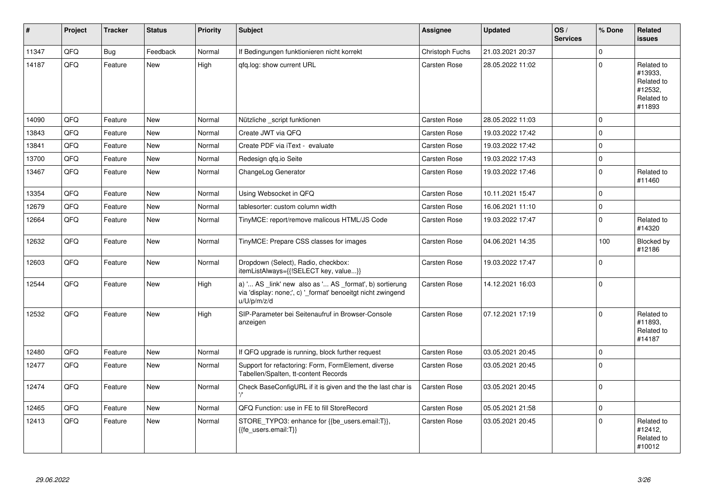| #     | Project | <b>Tracker</b> | <b>Status</b> | Priority | <b>Subject</b>                                                                                                                        | <b>Assignee</b>     | <b>Updated</b>   | $\log$<br><b>Services</b> | % Done      | Related<br><b>issues</b>                                               |
|-------|---------|----------------|---------------|----------|---------------------------------------------------------------------------------------------------------------------------------------|---------------------|------------------|---------------------------|-------------|------------------------------------------------------------------------|
| 11347 | QFQ     | <b>Bug</b>     | Feedback      | Normal   | If Bedingungen funktionieren nicht korrekt                                                                                            | Christoph Fuchs     | 21.03.2021 20:37 |                           | $\Omega$    |                                                                        |
| 14187 | QFQ     | Feature        | New           | High     | gfg.log: show current URL                                                                                                             | Carsten Rose        | 28.05.2022 11:02 |                           | $\Omega$    | Related to<br>#13933,<br>Related to<br>#12532,<br>Related to<br>#11893 |
| 14090 | QFQ     | Feature        | New           | Normal   | Nützliche script funktionen                                                                                                           | <b>Carsten Rose</b> | 28.05.2022 11:03 |                           | $\Omega$    |                                                                        |
| 13843 | QFQ     | Feature        | New           | Normal   | Create JWT via QFQ                                                                                                                    | <b>Carsten Rose</b> | 19.03.2022 17:42 |                           | $\Omega$    |                                                                        |
| 13841 | QFQ     | Feature        | New           | Normal   | Create PDF via iText - evaluate                                                                                                       | Carsten Rose        | 19.03.2022 17:42 |                           | $\Omega$    |                                                                        |
| 13700 | QFQ     | Feature        | <b>New</b>    | Normal   | Redesign qfq.io Seite                                                                                                                 | Carsten Rose        | 19.03.2022 17:43 |                           | $\mathbf 0$ |                                                                        |
| 13467 | QFQ     | Feature        | New           | Normal   | ChangeLog Generator                                                                                                                   | Carsten Rose        | 19.03.2022 17:46 |                           | $\Omega$    | Related to<br>#11460                                                   |
| 13354 | QFQ     | Feature        | <b>New</b>    | Normal   | Using Websocket in QFQ                                                                                                                | Carsten Rose        | 10.11.2021 15:47 |                           | $\mathbf 0$ |                                                                        |
| 12679 | QFQ     | Feature        | <b>New</b>    | Normal   | tablesorter: custom column width                                                                                                      | Carsten Rose        | 16.06.2021 11:10 |                           | 0           |                                                                        |
| 12664 | QFQ     | Feature        | New           | Normal   | TinyMCE: report/remove malicous HTML/JS Code                                                                                          | Carsten Rose        | 19.03.2022 17:47 |                           | $\Omega$    | Related to<br>#14320                                                   |
| 12632 | QFQ     | Feature        | <b>New</b>    | Normal   | TinyMCE: Prepare CSS classes for images                                                                                               | Carsten Rose        | 04.06.2021 14:35 |                           | 100         | Blocked by<br>#12186                                                   |
| 12603 | QFQ     | Feature        | New           | Normal   | Dropdown (Select), Radio, checkbox:<br>itemListAlways={{!SELECT key, value}}                                                          | <b>Carsten Rose</b> | 19.03.2022 17:47 |                           | $\Omega$    |                                                                        |
| 12544 | QFQ     | Feature        | <b>New</b>    | High     | a) ' AS _link' new also as ' AS _format', b) sortierung<br>via 'display: none;', c) '_format' benoeitgt nicht zwingend<br>u/U/p/m/z/d | Carsten Rose        | 14.12.2021 16:03 |                           | $\Omega$    |                                                                        |
| 12532 | QFQ     | Feature        | <b>New</b>    | High     | SIP-Parameter bei Seitenaufruf in Browser-Console<br>anzeigen                                                                         | Carsten Rose        | 07.12.2021 17:19 |                           | $\Omega$    | Related to<br>#11893,<br>Related to<br>#14187                          |
| 12480 | QFQ     | Feature        | <b>New</b>    | Normal   | If QFQ upgrade is running, block further request                                                                                      | <b>Carsten Rose</b> | 03.05.2021 20:45 |                           | $\Omega$    |                                                                        |
| 12477 | QFQ     | Feature        | New           | Normal   | Support for refactoring: Form, FormElement, diverse<br>Tabellen/Spalten, tt-content Records                                           | <b>Carsten Rose</b> | 03.05.2021 20:45 |                           | 0           |                                                                        |
| 12474 | QFQ     | Feature        | New           | Normal   | Check BaseConfigURL if it is given and the the last char is                                                                           | <b>Carsten Rose</b> | 03.05.2021 20:45 |                           | $\Omega$    |                                                                        |
| 12465 | QFQ     | Feature        | New           | Normal   | QFQ Function: use in FE to fill StoreRecord                                                                                           | Carsten Rose        | 05.05.2021 21:58 |                           | $\Omega$    |                                                                        |
| 12413 | QFQ     | Feature        | New           | Normal   | STORE_TYPO3: enhance for {{be_users.email:T}},<br>{{fe users.email:T}}                                                                | Carsten Rose        | 03.05.2021 20:45 |                           | $\Omega$    | Related to<br>#12412,<br>Related to<br>#10012                          |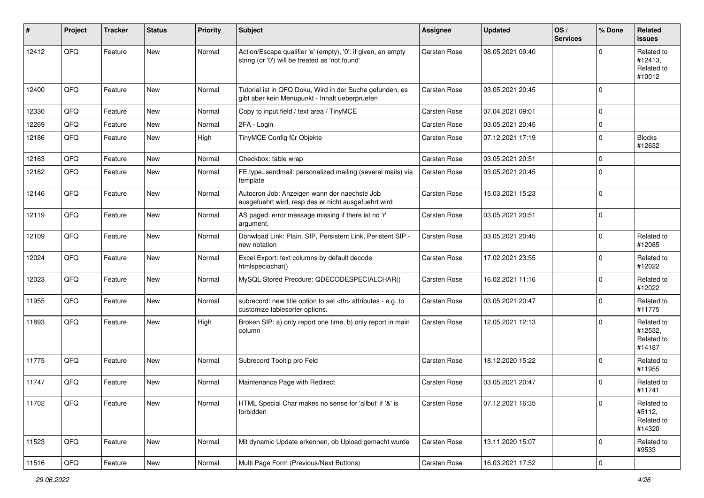| #     | Project | <b>Tracker</b> | <b>Status</b> | <b>Priority</b> | Subject                                                                                                        | <b>Assignee</b>                                        | <b>Updated</b>   | OS/<br><b>Services</b> | % Done    | Related<br><b>issues</b>                      |                      |
|-------|---------|----------------|---------------|-----------------|----------------------------------------------------------------------------------------------------------------|--------------------------------------------------------|------------------|------------------------|-----------|-----------------------------------------------|----------------------|
| 12412 | QFQ     | Feature        | New           | Normal          | Action/Escape qualifier 'e' (empty), '0': if given, an empty<br>string (or '0') will be treated as 'not found' | Carsten Rose                                           | 08.05.2021 09:40 |                        | $\Omega$  | Related to<br>#12413,<br>Related to<br>#10012 |                      |
| 12400 | QFQ     | Feature        | New           | Normal          | Tutorial ist in QFQ Doku, Wird in der Suche gefunden, es<br>gibt aber kein Menupunkt - Inhalt ueberpruefen     | Carsten Rose                                           | 03.05.2021 20:45 |                        | $\Omega$  |                                               |                      |
| 12330 | QFQ     | Feature        | <b>New</b>    | Normal          | Copy to input field / text area / TinyMCE                                                                      | Carsten Rose                                           | 07.04.2021 09:01 |                        | $\Omega$  |                                               |                      |
| 12269 | QFQ     | Feature        | <b>New</b>    | Normal          | 2FA - Login                                                                                                    | Carsten Rose                                           | 03.05.2021 20:45 |                        | $\Omega$  |                                               |                      |
| 12186 | QFQ     | Feature        | New           | High            | TinyMCE Config für Objekte                                                                                     | Carsten Rose                                           | 07.12.2021 17:19 |                        | $\Omega$  | <b>Blocks</b><br>#12632                       |                      |
| 12163 | QFQ     | Feature        | <b>New</b>    | Normal          | Checkbox: table wrap                                                                                           | Carsten Rose                                           | 03.05.2021 20:51 |                        | $\Omega$  |                                               |                      |
| 12162 | QFQ     | Feature        | New           | Normal          | FE.type=sendmail: personalized mailing (several mails) via<br>template                                         | Carsten Rose                                           | 03.05.2021 20:45 |                        | $\Omega$  |                                               |                      |
| 12146 | QFQ     | Feature        | <b>New</b>    | Normal          | Autocron Job: Anzeigen wann der naechste Job<br>ausgefuehrt wird, resp das er nicht ausgefuehrt wird           | Carsten Rose                                           | 15.03.2021 15:23 |                        | $\Omega$  |                                               |                      |
| 12119 | QFQ     | Feature        | New           | Normal          | AS paged: error message missing if there ist no 'r'<br>argument.                                               | Carsten Rose                                           | 03.05.2021 20:51 |                        | $\Omega$  |                                               |                      |
| 12109 | QFQ     | Feature        | New           | Normal          | Donwload Link: Plain, SIP, Persistent Link, Peristent SIP -<br>new notation                                    | Carsten Rose                                           | 03.05.2021 20:45 |                        | $\Omega$  | Related to<br>#12085                          |                      |
| 12024 | QFQ     | Feature        | <b>New</b>    | Normal          | Excel Export: text columns by default decode<br>htmlspeciachar()                                               | Carsten Rose                                           | 17.02.2021 23:55 |                        | $\Omega$  | Related to<br>#12022                          |                      |
| 12023 | QFQ     | Feature        | New           | Normal          | MySQL Stored Precdure: QDECODESPECIALCHAR()                                                                    | Carsten Rose                                           | 16.02.2021 11:16 |                        | $\Omega$  | Related to<br>#12022                          |                      |
| 11955 | QFQ     | Feature        | New           | Normal          | subrecord: new title option to set <th> attributes - e.g. to<br/>customize tablesorter options.</th>           | attributes - e.g. to<br>customize tablesorter options. | Carsten Rose     | 03.05.2021 20:47       |           | $\mathbf 0$                                   | Related to<br>#11775 |
| 11893 | QFQ     | Feature        | New           | High            | Broken SIP: a) only report one time, b) only report in main<br>column                                          | Carsten Rose                                           | 12.05.2021 12:13 |                        | $\Omega$  | Related to<br>#12532,<br>Related to<br>#14187 |                      |
| 11775 | QFQ     | Feature        | <b>New</b>    | Normal          | Subrecord Tooltip pro Feld                                                                                     | Carsten Rose                                           | 18.12.2020 15:22 |                        | $\Omega$  | Related to<br>#11955                          |                      |
| 11747 | QFQ     | Feature        | <b>New</b>    | Normal          | Maintenance Page with Redirect                                                                                 | Carsten Rose                                           | 03.05.2021 20:47 |                        | $\Omega$  | Related to<br>#11741                          |                      |
| 11702 | QFQ     | Feature        | New           | Normal          | HTML Special Char makes no sense for 'allbut' if '&' is<br>forbidden                                           | Carsten Rose                                           | 07.12.2021 16:35 |                        | 0         | Related to<br>#5112,<br>Related to<br>#14320  |                      |
| 11523 | QFQ     | Feature        | New           | Normal          | Mit dynamic Update erkennen, ob Upload gemacht wurde                                                           | Carsten Rose                                           | 13.11.2020 15:07 |                        | 0         | Related to<br>#9533                           |                      |
| 11516 | QFQ     | Feature        | New           | Normal          | Multi Page Form (Previous/Next Buttons)                                                                        | Carsten Rose                                           | 16.03.2021 17:52 |                        | $\pmb{0}$ |                                               |                      |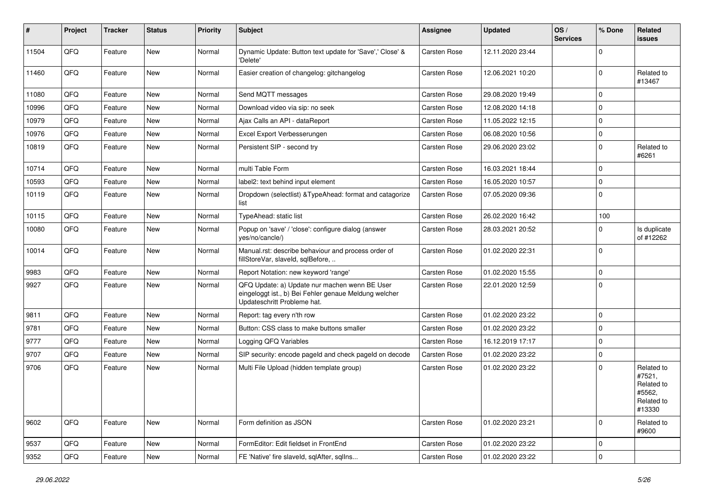| ∦     | Project | <b>Tracker</b> | <b>Status</b> | <b>Priority</b> | Subject                                                                                                                               | Assignee     | <b>Updated</b>   | OS/<br><b>Services</b> | % Done      | Related<br><b>issues</b>                                             |
|-------|---------|----------------|---------------|-----------------|---------------------------------------------------------------------------------------------------------------------------------------|--------------|------------------|------------------------|-------------|----------------------------------------------------------------------|
| 11504 | QFQ     | Feature        | New           | Normal          | Dynamic Update: Button text update for 'Save',' Close' &<br>'Delete'                                                                  | Carsten Rose | 12.11.2020 23:44 |                        | $\Omega$    |                                                                      |
| 11460 | QFQ     | Feature        | New           | Normal          | Easier creation of changelog: gitchangelog                                                                                            | Carsten Rose | 12.06.2021 10:20 |                        | $\mathbf 0$ | Related to<br>#13467                                                 |
| 11080 | QFQ     | Feature        | New           | Normal          | Send MQTT messages                                                                                                                    | Carsten Rose | 29.08.2020 19:49 |                        | $\Omega$    |                                                                      |
| 10996 | QFQ     | Feature        | New           | Normal          | Download video via sip: no seek                                                                                                       | Carsten Rose | 12.08.2020 14:18 |                        | $\mathbf 0$ |                                                                      |
| 10979 | QFQ     | Feature        | New           | Normal          | Ajax Calls an API - dataReport                                                                                                        | Carsten Rose | 11.05.2022 12:15 |                        | $\mathbf 0$ |                                                                      |
| 10976 | QFQ     | Feature        | <b>New</b>    | Normal          | Excel Export Verbesserungen                                                                                                           | Carsten Rose | 06.08.2020 10:56 |                        | $\mathbf 0$ |                                                                      |
| 10819 | QFQ     | Feature        | New           | Normal          | Persistent SIP - second try                                                                                                           | Carsten Rose | 29.06.2020 23:02 |                        | $\mathbf 0$ | Related to<br>#6261                                                  |
| 10714 | QFQ     | Feature        | New           | Normal          | multi Table Form                                                                                                                      | Carsten Rose | 16.03.2021 18:44 |                        | $\mathbf 0$ |                                                                      |
| 10593 | QFQ     | Feature        | New           | Normal          | label2: text behind input element                                                                                                     | Carsten Rose | 16.05.2020 10:57 |                        | $\mathbf 0$ |                                                                      |
| 10119 | QFQ     | Feature        | New           | Normal          | Dropdown (selectlist) & Type Ahead: format and catagorize<br>list                                                                     | Carsten Rose | 07.05.2020 09:36 |                        | $\mathbf 0$ |                                                                      |
| 10115 | QFQ     | Feature        | New           | Normal          | TypeAhead: static list                                                                                                                | Carsten Rose | 26.02.2020 16:42 |                        | 100         |                                                                      |
| 10080 | QFQ     | Feature        | New           | Normal          | Popup on 'save' / 'close': configure dialog (answer<br>yes/no/cancle/)                                                                | Carsten Rose | 28.03.2021 20:52 |                        | $\Omega$    | Is duplicate<br>of #12262                                            |
| 10014 | QFQ     | Feature        | <b>New</b>    | Normal          | Manual.rst: describe behaviour and process order of<br>fillStoreVar, slaveId, sqlBefore,                                              | Carsten Rose | 01.02.2020 22:31 |                        | $\mathbf 0$ |                                                                      |
| 9983  | QFQ     | Feature        | New           | Normal          | Report Notation: new keyword 'range'                                                                                                  | Carsten Rose | 01.02.2020 15:55 |                        | $\mathbf 0$ |                                                                      |
| 9927  | QFQ     | Feature        | <b>New</b>    | Normal          | QFQ Update: a) Update nur machen wenn BE User<br>eingeloggt ist., b) Bei Fehler genaue Meldung welcher<br>Updateschritt Probleme hat. | Carsten Rose | 22.01.2020 12:59 |                        | $\mathbf 0$ |                                                                      |
| 9811  | QFQ     | Feature        | New           | Normal          | Report: tag every n'th row                                                                                                            | Carsten Rose | 01.02.2020 23:22 |                        | $\mathbf 0$ |                                                                      |
| 9781  | QFQ     | Feature        | New           | Normal          | Button: CSS class to make buttons smaller                                                                                             | Carsten Rose | 01.02.2020 23:22 |                        | $\mathbf 0$ |                                                                      |
| 9777  | QFQ     | Feature        | New           | Normal          | Logging QFQ Variables                                                                                                                 | Carsten Rose | 16.12.2019 17:17 |                        | $\mathbf 0$ |                                                                      |
| 9707  | QFQ     | Feature        | <b>New</b>    | Normal          | SIP security: encode pageld and check pageld on decode                                                                                | Carsten Rose | 01.02.2020 23:22 |                        | $\mathbf 0$ |                                                                      |
| 9706  | QFQ     | Feature        | New           | Normal          | Multi File Upload (hidden template group)                                                                                             | Carsten Rose | 01.02.2020 23:22 |                        | $\mathbf 0$ | Related to<br>#7521,<br>Related to<br>#5562,<br>Related to<br>#13330 |
| 9602  | QFQ     | Feature        | New           | Normal          | Form definition as JSON                                                                                                               | Carsten Rose | 01.02.2020 23:21 |                        | $\mathbf 0$ | Related to<br>#9600                                                  |
| 9537  | QFQ     | Feature        | New           | Normal          | FormEditor: Edit fieldset in FrontEnd                                                                                                 | Carsten Rose | 01.02.2020 23:22 |                        | $\mathbf 0$ |                                                                      |
| 9352  | QFG     | Feature        | New           | Normal          | FE 'Native' fire slaveld, sqlAfter, sqlIns                                                                                            | Carsten Rose | 01.02.2020 23:22 |                        | $\mathbf 0$ |                                                                      |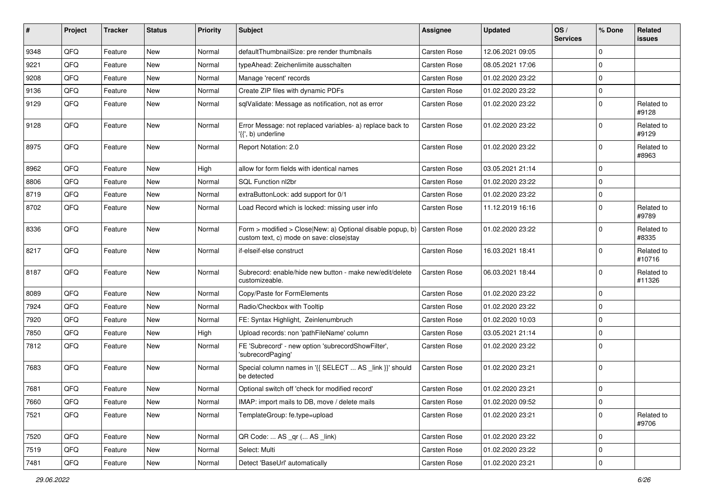| #    | Project        | <b>Tracker</b> | <b>Status</b> | <b>Priority</b> | Subject                                                                                                                     | Assignee     | <b>Updated</b>   | OS/<br><b>Services</b> | % Done      | Related<br>issues    |
|------|----------------|----------------|---------------|-----------------|-----------------------------------------------------------------------------------------------------------------------------|--------------|------------------|------------------------|-------------|----------------------|
| 9348 | QFQ            | Feature        | New           | Normal          | defaultThumbnailSize: pre render thumbnails                                                                                 | Carsten Rose | 12.06.2021 09:05 |                        | $\mathbf 0$ |                      |
| 9221 | QFQ            | Feature        | New           | Normal          | typeAhead: Zeichenlimite ausschalten                                                                                        | Carsten Rose | 08.05.2021 17:06 |                        | $\Omega$    |                      |
| 9208 | QFQ            | Feature        | New           | Normal          | Manage 'recent' records                                                                                                     | Carsten Rose | 01.02.2020 23:22 |                        | $\Omega$    |                      |
| 9136 | QFQ            | Feature        | New           | Normal          | Create ZIP files with dynamic PDFs                                                                                          | Carsten Rose | 01.02.2020 23:22 |                        | 0           |                      |
| 9129 | QFQ            | Feature        | New           | Normal          | sqlValidate: Message as notification, not as error                                                                          | Carsten Rose | 01.02.2020 23:22 |                        | $\mathbf 0$ | Related to<br>#9128  |
| 9128 | QFQ            | Feature        | <b>New</b>    | Normal          | Error Message: not replaced variables- a) replace back to<br>'{{', b) underline                                             | Carsten Rose | 01.02.2020 23:22 |                        | $\mathbf 0$ | Related to<br>#9129  |
| 8975 | QFQ            | Feature        | <b>New</b>    | Normal          | Report Notation: 2.0                                                                                                        | Carsten Rose | 01.02.2020 23:22 |                        | $\Omega$    | Related to<br>#8963  |
| 8962 | QFQ            | Feature        | New           | High            | allow for form fields with identical names                                                                                  | Carsten Rose | 03.05.2021 21:14 |                        | $\Omega$    |                      |
| 8806 | QFQ            | Feature        | <b>New</b>    | Normal          | SQL Function nl2br                                                                                                          | Carsten Rose | 01.02.2020 23:22 |                        | $\Omega$    |                      |
| 8719 | QFQ            | Feature        | New           | Normal          | extraButtonLock: add support for 0/1                                                                                        | Carsten Rose | 01.02.2020 23:22 |                        | $\Omega$    |                      |
| 8702 | QFQ            | Feature        | New           | Normal          | Load Record which is locked: missing user info                                                                              | Carsten Rose | 11.12.2019 16:16 |                        | $\Omega$    | Related to<br>#9789  |
| 8336 | QFQ            | Feature        | <b>New</b>    | Normal          | Form > modified > Close New: a) Optional disable popup, b) $\vert$ Carsten Rose<br>custom text, c) mode on save: close stay |              | 01.02.2020 23:22 |                        | $\Omega$    | Related to<br>#8335  |
| 8217 | QFQ            | Feature        | New           | Normal          | if-elseif-else construct                                                                                                    | Carsten Rose | 16.03.2021 18:41 |                        | $\mathbf 0$ | Related to<br>#10716 |
| 8187 | QFQ            | Feature        | <b>New</b>    | Normal          | Subrecord: enable/hide new button - make new/edit/delete<br>customizeable.                                                  | Carsten Rose | 06.03.2021 18:44 |                        | $\Omega$    | Related to<br>#11326 |
| 8089 | QFQ            | Feature        | <b>New</b>    | Normal          | Copy/Paste for FormElements                                                                                                 | Carsten Rose | 01.02.2020 23:22 |                        | $\mathbf 0$ |                      |
| 7924 | QFQ            | Feature        | <b>New</b>    | Normal          | Radio/Checkbox with Tooltip                                                                                                 | Carsten Rose | 01.02.2020 23:22 |                        | $\Omega$    |                      |
| 7920 | QFQ            | Feature        | New           | Normal          | FE: Syntax Highlight, Zeinlenumbruch                                                                                        | Carsten Rose | 01.02.2020 10:03 |                        | $\Omega$    |                      |
| 7850 | QFQ            | Feature        | <b>New</b>    | High            | Upload records: non 'pathFileName' column                                                                                   | Carsten Rose | 03.05.2021 21:14 |                        | $\Omega$    |                      |
| 7812 | QFQ            | Feature        | New           | Normal          | FE 'Subrecord' - new option 'subrecordShowFilter',<br>'subrecordPaging'                                                     | Carsten Rose | 01.02.2020 23:22 |                        | $\Omega$    |                      |
| 7683 | QFQ            | Feature        | <b>New</b>    | Normal          | Special column names in '{{ SELECT  AS _link }}' should<br>be detected                                                      | Carsten Rose | 01.02.2020 23:21 |                        | $\Omega$    |                      |
| 7681 | QFQ            | Feature        | New           | Normal          | Optional switch off 'check for modified record'                                                                             | Carsten Rose | 01.02.2020 23:21 |                        | $\mathbf 0$ |                      |
| 7660 | $\mathsf{QFQ}$ | Feature        | New           | Normal          | IMAP: import mails to DB, move / delete mails                                                                               | Carsten Rose | 01.02.2020 09:52 |                        | 0           |                      |
| 7521 | QFQ            | Feature        | New           | Normal          | TemplateGroup: fe.type=upload                                                                                               | Carsten Rose | 01.02.2020 23:21 |                        | 0           | Related to<br>#9706  |
| 7520 | QFQ            | Feature        | New           | Normal          | QR Code:  AS _qr ( AS _link)                                                                                                | Carsten Rose | 01.02.2020 23:22 |                        | 0           |                      |
| 7519 | QFQ            | Feature        | New           | Normal          | Select: Multi                                                                                                               | Carsten Rose | 01.02.2020 23:22 |                        | 0           |                      |
| 7481 | $\mathsf{QFQ}$ | Feature        | New           | Normal          | Detect 'BaseUrl' automatically                                                                                              | Carsten Rose | 01.02.2020 23:21 |                        | $\pmb{0}$   |                      |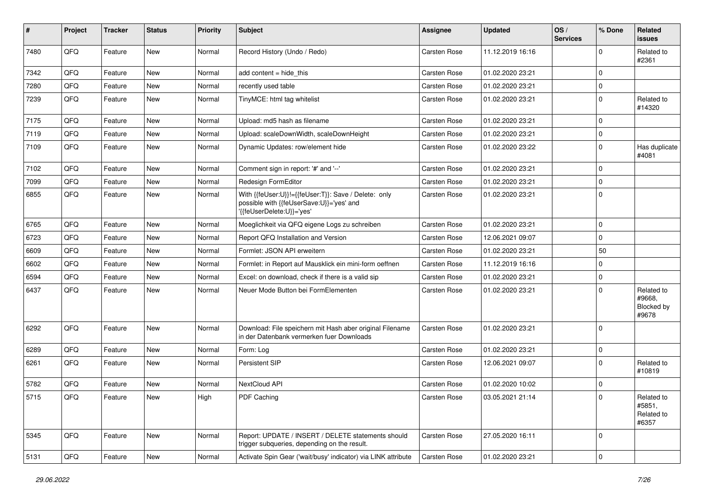| #    | Project        | <b>Tracker</b> | <b>Status</b> | <b>Priority</b> | Subject                                                                                                                       | Assignee            | <b>Updated</b>   | OS/<br><b>Services</b> | % Done      | Related<br>issues                           |
|------|----------------|----------------|---------------|-----------------|-------------------------------------------------------------------------------------------------------------------------------|---------------------|------------------|------------------------|-------------|---------------------------------------------|
| 7480 | QFQ            | Feature        | <b>New</b>    | Normal          | Record History (Undo / Redo)                                                                                                  | Carsten Rose        | 11.12.2019 16:16 |                        | $\mathbf 0$ | Related to<br>#2361                         |
| 7342 | QFQ            | Feature        | New           | Normal          | add content $=$ hide this                                                                                                     | Carsten Rose        | 01.02.2020 23:21 |                        | $\Omega$    |                                             |
| 7280 | QFQ            | Feature        | <b>New</b>    | Normal          | recently used table                                                                                                           | Carsten Rose        | 01.02.2020 23:21 |                        | $\Omega$    |                                             |
| 7239 | QFQ            | Feature        | New           | Normal          | TinyMCE: html tag whitelist                                                                                                   | Carsten Rose        | 01.02.2020 23:21 |                        | $\mathbf 0$ | Related to<br>#14320                        |
| 7175 | QFQ            | Feature        | <b>New</b>    | Normal          | Upload: md5 hash as filename                                                                                                  | Carsten Rose        | 01.02.2020 23:21 |                        | $\mathbf 0$ |                                             |
| 7119 | QFQ            | Feature        | New           | Normal          | Upload: scaleDownWidth, scaleDownHeight                                                                                       | Carsten Rose        | 01.02.2020 23:21 |                        | $\mathbf 0$ |                                             |
| 7109 | QFQ            | Feature        | <b>New</b>    | Normal          | Dynamic Updates: row/element hide                                                                                             | Carsten Rose        | 01.02.2020 23:22 |                        | $\Omega$    | Has duplicate<br>#4081                      |
| 7102 | QFQ            | Feature        | New           | Normal          | Comment sign in report: '#' and '--'                                                                                          | Carsten Rose        | 01.02.2020 23:21 |                        | $\Omega$    |                                             |
| 7099 | QFQ            | Feature        | <b>New</b>    | Normal          | Redesign FormEditor                                                                                                           | Carsten Rose        | 01.02.2020 23:21 |                        | $\Omega$    |                                             |
| 6855 | QFQ            | Feature        | New           | Normal          | With {{feUser:U}}!={{feUser:T}}: Save / Delete: only<br>possible with {{feUserSave:U}}='yes' and<br>'{{feUserDelete:U}}='yes' | <b>Carsten Rose</b> | 01.02.2020 23:21 |                        | $\Omega$    |                                             |
| 6765 | QFQ            | Feature        | <b>New</b>    | Normal          | Moeglichkeit via QFQ eigene Logs zu schreiben                                                                                 | Carsten Rose        | 01.02.2020 23:21 |                        | $\Omega$    |                                             |
| 6723 | QFQ            | Feature        | <b>New</b>    | Normal          | Report QFQ Installation and Version                                                                                           | Carsten Rose        | 12.06.2021 09:07 |                        | $\Omega$    |                                             |
| 6609 | QFQ            | Feature        | New           | Normal          | Formlet: JSON API erweitern                                                                                                   | Carsten Rose        | 01.02.2020 23:21 |                        | 50          |                                             |
| 6602 | QFQ            | Feature        | New           | Normal          | Formlet: in Report auf Mausklick ein mini-form oeffnen                                                                        | Carsten Rose        | 11.12.2019 16:16 |                        | $\mathbf 0$ |                                             |
| 6594 | QFQ            | Feature        | <b>New</b>    | Normal          | Excel: on download, check if there is a valid sip                                                                             | Carsten Rose        | 01.02.2020 23:21 |                        | $\Omega$    |                                             |
| 6437 | QFQ            | Feature        | New           | Normal          | Neuer Mode Button bei FormElementen                                                                                           | Carsten Rose        | 01.02.2020 23:21 |                        | $\Omega$    | Related to<br>#9668,<br>Blocked by<br>#9678 |
| 6292 | QFQ            | Feature        | New           | Normal          | Download: File speichern mit Hash aber original Filename<br>in der Datenbank vermerken fuer Downloads                         | <b>Carsten Rose</b> | 01.02.2020 23:21 |                        | $\Omega$    |                                             |
| 6289 | QFQ            | Feature        | New           | Normal          | Form: Log                                                                                                                     | Carsten Rose        | 01.02.2020 23:21 |                        | $\mathbf 0$ |                                             |
| 6261 | QFQ            | Feature        | New           | Normal          | Persistent SIP                                                                                                                | Carsten Rose        | 12.06.2021 09:07 |                        | $\Omega$    | Related to<br>#10819                        |
| 5782 | QFQ            | Feature        | New           | Normal          | NextCloud API                                                                                                                 | Carsten Rose        | 01.02.2020 10:02 |                        | $\mathbf 0$ |                                             |
| 5715 | QFG            | Feature        | New           | High            | PDF Caching                                                                                                                   | Carsten Rose        | 03.05.2021 21:14 |                        | $\Omega$    | Related to<br>#5851,<br>Related to<br>#6357 |
| 5345 | QFQ            | Feature        | New           | Normal          | Report: UPDATE / INSERT / DELETE statements should<br>trigger subqueries, depending on the result.                            | Carsten Rose        | 27.05.2020 16:11 |                        | $\Omega$    |                                             |
| 5131 | $\mathsf{QFQ}$ | Feature        | New           | Normal          | Activate Spin Gear ('wait/busy' indicator) via LINK attribute                                                                 | Carsten Rose        | 01.02.2020 23:21 |                        | $\pmb{0}$   |                                             |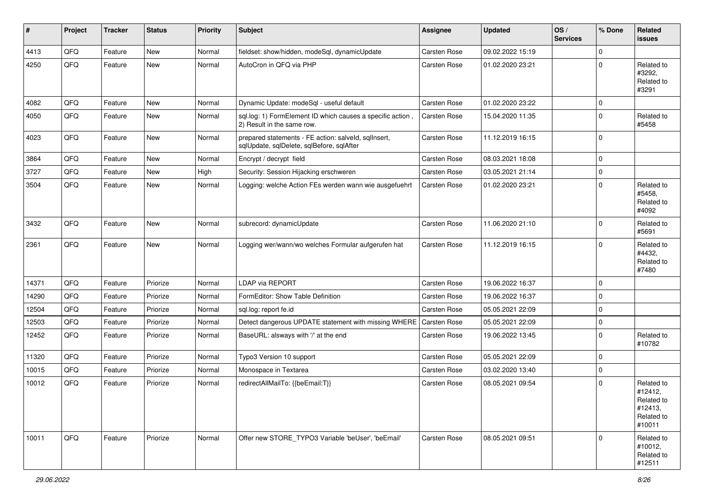| $\sharp$ | Project | <b>Tracker</b> | <b>Status</b> | <b>Priority</b> | <b>Subject</b>                                                                                    | <b>Assignee</b>     | <b>Updated</b>   | OS/<br><b>Services</b> | % Done      | Related<br>issues                                                      |
|----------|---------|----------------|---------------|-----------------|---------------------------------------------------------------------------------------------------|---------------------|------------------|------------------------|-------------|------------------------------------------------------------------------|
| 4413     | QFQ     | Feature        | <b>New</b>    | Normal          | fieldset: show/hidden, modeSql, dynamicUpdate                                                     | <b>Carsten Rose</b> | 09.02.2022 15:19 |                        | 0           |                                                                        |
| 4250     | QFQ     | Feature        | New           | Normal          | AutoCron in QFQ via PHP                                                                           | Carsten Rose        | 01.02.2020 23:21 |                        | $\mathbf 0$ | Related to<br>#3292,<br>Related to<br>#3291                            |
| 4082     | QFQ     | Feature        | New           | Normal          | Dynamic Update: modeSql - useful default                                                          | Carsten Rose        | 01.02.2020 23:22 |                        | $\mathbf 0$ |                                                                        |
| 4050     | QFQ     | Feature        | New           | Normal          | sql.log: 1) FormElement ID which causes a specific action,<br>2) Result in the same row.          | Carsten Rose        | 15.04.2020 11:35 |                        | $\mathbf 0$ | Related to<br>#5458                                                    |
| 4023     | QFQ     | Feature        | New           | Normal          | prepared statements - FE action: salveld, sqlInsert,<br>sqlUpdate, sqlDelete, sqlBefore, sqlAfter | Carsten Rose        | 11.12.2019 16:15 |                        | $\mathbf 0$ |                                                                        |
| 3864     | QFQ     | Feature        | New           | Normal          | Encrypt / decrypt field                                                                           | Carsten Rose        | 08.03.2021 18:08 |                        | $\pmb{0}$   |                                                                        |
| 3727     | QFQ     | Feature        | <b>New</b>    | High            | Security: Session Hijacking erschweren                                                            | Carsten Rose        | 03.05.2021 21:14 |                        | $\pmb{0}$   |                                                                        |
| 3504     | QFQ     | Feature        | New           | Normal          | Logging: welche Action FEs werden wann wie ausgefuehrt                                            | Carsten Rose        | 01.02.2020 23:21 |                        | $\mathbf 0$ | Related to<br>#5458,<br>Related to<br>#4092                            |
| 3432     | QFQ     | Feature        | New           | Normal          | subrecord: dynamicUpdate                                                                          | Carsten Rose        | 11.06.2020 21:10 |                        | $\mathbf 0$ | Related to<br>#5691                                                    |
| 2361     | QFQ     | Feature        | New           | Normal          | Logging wer/wann/wo welches Formular aufgerufen hat                                               | Carsten Rose        | 11.12.2019 16:15 |                        | $\mathbf 0$ | Related to<br>#4432,<br>Related to<br>#7480                            |
| 14371    | QFQ     | Feature        | Priorize      | Normal          | <b>LDAP via REPORT</b>                                                                            | Carsten Rose        | 19.06.2022 16:37 |                        | $\mathbf 0$ |                                                                        |
| 14290    | QFQ     | Feature        | Priorize      | Normal          | FormEditor: Show Table Definition                                                                 | Carsten Rose        | 19.06.2022 16:37 |                        | $\pmb{0}$   |                                                                        |
| 12504    | QFQ     | Feature        | Priorize      | Normal          | sql.log: report fe.id                                                                             | Carsten Rose        | 05.05.2021 22:09 |                        | $\pmb{0}$   |                                                                        |
| 12503    | QFQ     | Feature        | Priorize      | Normal          | Detect dangerous UPDATE statement with missing WHERE                                              | Carsten Rose        | 05.05.2021 22:09 |                        | $\mathbf 0$ |                                                                        |
| 12452    | QFQ     | Feature        | Priorize      | Normal          | BaseURL: alsways with '/' at the end                                                              | Carsten Rose        | 19.06.2022 13:45 |                        | $\pmb{0}$   | Related to<br>#10782                                                   |
| 11320    | QFQ     | Feature        | Priorize      | Normal          | Typo3 Version 10 support                                                                          | Carsten Rose        | 05.05.2021 22:09 |                        | $\mathbf 0$ |                                                                        |
| 10015    | QFQ     | Feature        | Priorize      | Normal          | Monospace in Textarea                                                                             | Carsten Rose        | 03.02.2020 13:40 |                        | $\pmb{0}$   |                                                                        |
| 10012    | QFQ     | Feature        | Priorize      | Normal          | redirectAllMailTo: {{beEmail:T}}                                                                  | Carsten Rose        | 08.05.2021 09:54 |                        | $\mathbf 0$ | Related to<br>#12412,<br>Related to<br>#12413,<br>Related to<br>#10011 |
| 10011    | QFQ     | Feature        | Priorize      | Normal          | Offer new STORE_TYPO3 Variable 'beUser', 'beEmail'                                                | Carsten Rose        | 08.05.2021 09:51 |                        | $\mathbf 0$ | Related to<br>#10012,<br>Related to<br>#12511                          |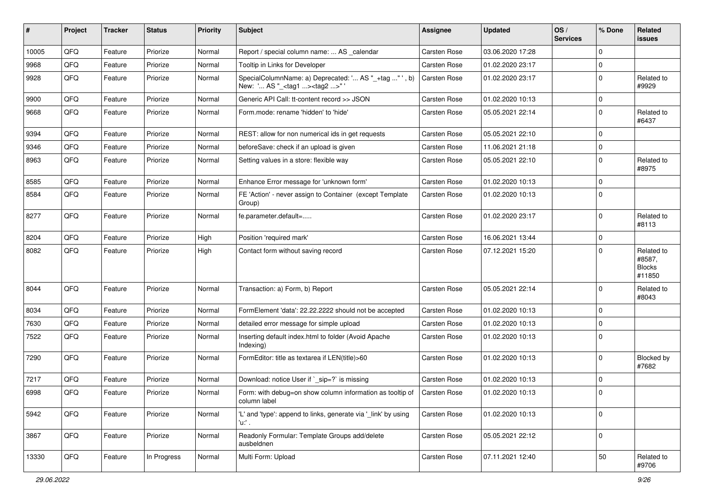| #     | Project | <b>Tracker</b> | <b>Status</b> | <b>Priority</b> | <b>Subject</b>                                                                                      | <b>Assignee</b> | <b>Updated</b>   | OS/<br><b>Services</b> | % Done      | Related<br>issues                               |
|-------|---------|----------------|---------------|-----------------|-----------------------------------------------------------------------------------------------------|-----------------|------------------|------------------------|-------------|-------------------------------------------------|
| 10005 | QFQ     | Feature        | Priorize      | Normal          | Report / special column name:  AS _calendar                                                         | Carsten Rose    | 03.06.2020 17:28 |                        | $\mathbf 0$ |                                                 |
| 9968  | QFQ     | Feature        | Priorize      | Normal          | Tooltip in Links for Developer                                                                      | Carsten Rose    | 01.02.2020 23:17 |                        | 0           |                                                 |
| 9928  | QFQ     | Feature        | Priorize      | Normal          | SpecialColumnName: a) Deprecated: ' AS "_+tag " ', b)<br>New: ' AS "_ <tag1><tag2>" '</tag2></tag1> | Carsten Rose    | 01.02.2020 23:17 |                        | $\mathbf 0$ | Related to<br>#9929                             |
| 9900  | QFQ     | Feature        | Priorize      | Normal          | Generic API Call: tt-content record >> JSON                                                         | Carsten Rose    | 01.02.2020 10:13 |                        | $\mathbf 0$ |                                                 |
| 9668  | QFQ     | Feature        | Priorize      | Normal          | Form.mode: rename 'hidden' to 'hide'                                                                | Carsten Rose    | 05.05.2021 22:14 |                        | $\Omega$    | Related to<br>#6437                             |
| 9394  | QFQ     | Feature        | Priorize      | Normal          | REST: allow for non numerical ids in get requests                                                   | Carsten Rose    | 05.05.2021 22:10 |                        | $\Omega$    |                                                 |
| 9346  | QFQ     | Feature        | Priorize      | Normal          | beforeSave: check if an upload is given                                                             | Carsten Rose    | 11.06.2021 21:18 |                        | $\mathbf 0$ |                                                 |
| 8963  | QFQ     | Feature        | Priorize      | Normal          | Setting values in a store: flexible way                                                             | Carsten Rose    | 05.05.2021 22:10 |                        | 0           | Related to<br>#8975                             |
| 8585  | QFQ     | Feature        | Priorize      | Normal          | Enhance Error message for 'unknown form'                                                            | Carsten Rose    | 01.02.2020 10:13 |                        | 0           |                                                 |
| 8584  | QFQ     | Feature        | Priorize      | Normal          | FE 'Action' - never assign to Container (except Template<br>Group)                                  | Carsten Rose    | 01.02.2020 10:13 |                        | $\Omega$    |                                                 |
| 8277  | QFQ     | Feature        | Priorize      | Normal          | fe.parameter.default=                                                                               | Carsten Rose    | 01.02.2020 23:17 |                        | 0           | Related to<br>#8113                             |
| 8204  | QFQ     | Feature        | Priorize      | High            | Position 'required mark'                                                                            | Carsten Rose    | 16.06.2021 13:44 |                        | 0           |                                                 |
| 8082  | QFQ     | Feature        | Priorize      | High            | Contact form without saving record                                                                  | Carsten Rose    | 07.12.2021 15:20 |                        | $\Omega$    | Related to<br>#8587,<br><b>Blocks</b><br>#11850 |
| 8044  | QFQ     | Feature        | Priorize      | Normal          | Transaction: a) Form, b) Report                                                                     | Carsten Rose    | 05.05.2021 22:14 |                        | $\Omega$    | Related to<br>#8043                             |
| 8034  | QFQ     | Feature        | Priorize      | Normal          | FormElement 'data': 22.22.2222 should not be accepted                                               | Carsten Rose    | 01.02.2020 10:13 |                        | 0           |                                                 |
| 7630  | QFQ     | Feature        | Priorize      | Normal          | detailed error message for simple upload                                                            | Carsten Rose    | 01.02.2020 10:13 |                        | $\mathbf 0$ |                                                 |
| 7522  | QFQ     | Feature        | Priorize      | Normal          | Inserting default index.html to folder (Avoid Apache<br>Indexing)                                   | Carsten Rose    | 01.02.2020 10:13 |                        | $\Omega$    |                                                 |
| 7290  | QFQ     | Feature        | Priorize      | Normal          | FormEditor: title as textarea if LEN(title)>60                                                      | Carsten Rose    | 01.02.2020 10:13 |                        | $\Omega$    | Blocked by<br>#7682                             |
| 7217  | QFQ     | Feature        | Priorize      | Normal          | Download: notice User if `_sip=?` is missing                                                        | Carsten Rose    | 01.02.2020 10:13 |                        | $\Omega$    |                                                 |
| 6998  | QFQ     | Feature        | Priorize      | Normal          | Form: with debug=on show column information as tooltip of<br>column label                           | Carsten Rose    | 01.02.2020 10:13 |                        | $\mathbf 0$ |                                                 |
| 5942  | QFQ     | Feature        | Priorize      | Normal          | 'L' and 'type': append to links, generate via '_link' by using<br>'u:' .                            | Carsten Rose    | 01.02.2020 10:13 |                        | 0           |                                                 |
| 3867  | QFQ     | Feature        | Priorize      | Normal          | Readonly Formular: Template Groups add/delete<br>ausbeldnen                                         | Carsten Rose    | 05.05.2021 22:12 |                        | 0           |                                                 |
| 13330 | QFQ     | Feature        | In Progress   | Normal          | Multi Form: Upload                                                                                  | Carsten Rose    | 07.11.2021 12:40 |                        | $50\,$      | Related to<br>#9706                             |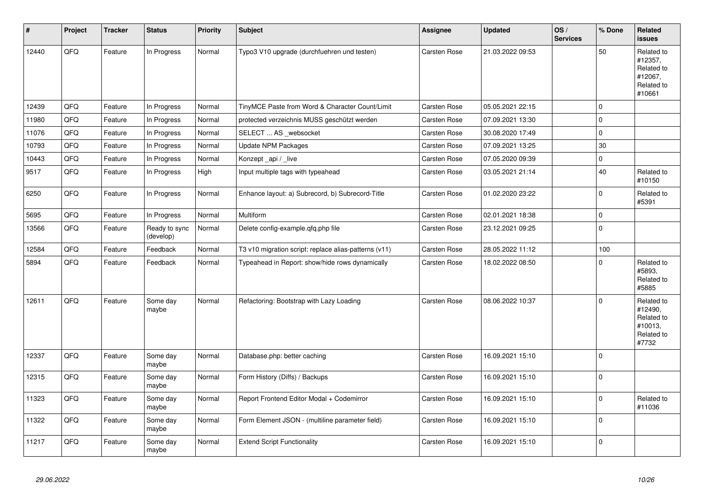| $\sharp$ | <b>Project</b> | <b>Tracker</b> | <b>Status</b>              | <b>Priority</b> | <b>Subject</b>                                        | Assignee            | <b>Updated</b>   | OS/<br><b>Services</b> | % Done      | Related<br>issues                                                      |
|----------|----------------|----------------|----------------------------|-----------------|-------------------------------------------------------|---------------------|------------------|------------------------|-------------|------------------------------------------------------------------------|
| 12440    | QFQ            | Feature        | In Progress                | Normal          | Typo3 V10 upgrade (durchfuehren und testen)           | Carsten Rose        | 21.03.2022 09:53 |                        | 50          | Related to<br>#12357,<br>Related to<br>#12067,<br>Related to<br>#10661 |
| 12439    | QFQ            | Feature        | In Progress                | Normal          | TinyMCE Paste from Word & Character Count/Limit       | Carsten Rose        | 05.05.2021 22:15 |                        | 0           |                                                                        |
| 11980    | QFQ            | Feature        | In Progress                | Normal          | protected verzeichnis MUSS geschützt werden           | <b>Carsten Rose</b> | 07.09.2021 13:30 |                        | $\Omega$    |                                                                        |
| 11076    | QFQ            | Feature        | In Progress                | Normal          | SELECT  AS _websocket                                 | Carsten Rose        | 30.08.2020 17:49 |                        | $\mathbf 0$ |                                                                        |
| 10793    | QFQ            | Feature        | In Progress                | Normal          | <b>Update NPM Packages</b>                            | Carsten Rose        | 07.09.2021 13:25 |                        | $30\,$      |                                                                        |
| 10443    | QFQ            | Feature        | In Progress                | Normal          | Konzept api / live                                    | <b>Carsten Rose</b> | 07.05.2020 09:39 |                        | 0           |                                                                        |
| 9517     | QFQ            | Feature        | In Progress                | High            | Input multiple tags with typeahead                    | Carsten Rose        | 03.05.2021 21:14 |                        | 40          | Related to<br>#10150                                                   |
| 6250     | QFQ            | Feature        | In Progress                | Normal          | Enhance layout: a) Subrecord, b) Subrecord-Title      | Carsten Rose        | 01.02.2020 23:22 |                        | $\pmb{0}$   | Related to<br>#5391                                                    |
| 5695     | QFQ            | Feature        | In Progress                | Normal          | Multiform                                             | <b>Carsten Rose</b> | 02.01.2021 18:38 |                        | $\Omega$    |                                                                        |
| 13566    | QFQ            | Feature        | Ready to sync<br>(develop) | Normal          | Delete config-example.qfq.php file                    | Carsten Rose        | 23.12.2021 09:25 |                        | $\pmb{0}$   |                                                                        |
| 12584    | QFQ            | Feature        | Feedback                   | Normal          | T3 v10 migration script: replace alias-patterns (v11) | <b>Carsten Rose</b> | 28.05.2022 11:12 |                        | 100         |                                                                        |
| 5894     | QFO            | Feature        | Feedback                   | Normal          | Typeahead in Report: show/hide rows dynamically       | Carsten Rose        | 18.02.2022 08:50 |                        | 0           | Related to<br>#5893,<br>Related to<br>#5885                            |
| 12611    | QFQ            | Feature        | Some day<br>maybe          | Normal          | Refactoring: Bootstrap with Lazy Loading              | Carsten Rose        | 08.06.2022 10:37 |                        | $\Omega$    | Related to<br>#12490,<br>Related to<br>#10013,<br>Related to<br>#7732  |
| 12337    | QFQ            | Feature        | Some day<br>maybe          | Normal          | Database.php: better caching                          | Carsten Rose        | 16.09.2021 15:10 |                        | $\mathbf 0$ |                                                                        |
| 12315    | QFQ            | Feature        | Some day<br>maybe          | Normal          | Form History (Diffs) / Backups                        | Carsten Rose        | 16.09.2021 15:10 |                        | $\pmb{0}$   |                                                                        |
| 11323    | QFQ            | Feature        | Some day<br>maybe          | Normal          | Report Frontend Editor Modal + Codemirror             | Carsten Rose        | 16.09.2021 15:10 |                        | $\Omega$    | Related to<br>#11036                                                   |
| 11322    | QFQ            | Feature        | Some day<br>maybe          | Normal          | Form Element JSON - (multiline parameter field)       | Carsten Rose        | 16.09.2021 15:10 |                        | $\mathbf 0$ |                                                                        |
| 11217    | QFQ            | Feature        | Some day<br>maybe          | Normal          | <b>Extend Script Functionality</b>                    | <b>Carsten Rose</b> | 16.09.2021 15:10 |                        | $\Omega$    |                                                                        |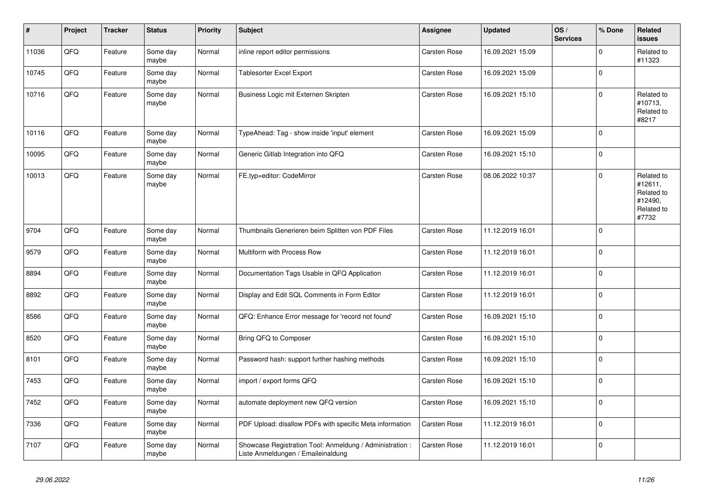| $\sharp$ | Project | <b>Tracker</b> | <b>Status</b>     | <b>Priority</b> | <b>Subject</b>                                                                                 | Assignee            | <b>Updated</b>   | OS/<br><b>Services</b> | % Done      | Related<br><b>issues</b>                                              |
|----------|---------|----------------|-------------------|-----------------|------------------------------------------------------------------------------------------------|---------------------|------------------|------------------------|-------------|-----------------------------------------------------------------------|
| 11036    | QFQ     | Feature        | Some day<br>maybe | Normal          | inline report editor permissions                                                               | Carsten Rose        | 16.09.2021 15:09 |                        | $\mathbf 0$ | Related to<br>#11323                                                  |
| 10745    | QFQ     | Feature        | Some day<br>maybe | Normal          | Tablesorter Excel Export                                                                       | <b>Carsten Rose</b> | 16.09.2021 15:09 |                        | $\pmb{0}$   |                                                                       |
| 10716    | QFQ     | Feature        | Some day<br>maybe | Normal          | Business Logic mit Externen Skripten                                                           | Carsten Rose        | 16.09.2021 15:10 |                        | $\mathbf 0$ | Related to<br>#10713,<br>Related to<br>#8217                          |
| 10116    | QFQ     | Feature        | Some day<br>maybe | Normal          | TypeAhead: Tag - show inside 'input' element                                                   | Carsten Rose        | 16.09.2021 15:09 |                        | $\mathbf 0$ |                                                                       |
| 10095    | QFQ     | Feature        | Some day<br>maybe | Normal          | Generic Gitlab Integration into QFQ                                                            | Carsten Rose        | 16.09.2021 15:10 |                        | $\pmb{0}$   |                                                                       |
| 10013    | QFQ     | Feature        | Some day<br>maybe | Normal          | FE.typ=editor: CodeMirror                                                                      | <b>Carsten Rose</b> | 08.06.2022 10:37 |                        | $\mathbf 0$ | Related to<br>#12611,<br>Related to<br>#12490,<br>Related to<br>#7732 |
| 9704     | QFQ     | Feature        | Some day<br>maybe | Normal          | Thumbnails Generieren beim Splitten von PDF Files                                              | Carsten Rose        | 11.12.2019 16:01 |                        | $\mathbf 0$ |                                                                       |
| 9579     | QFQ     | Feature        | Some day<br>maybe | Normal          | Multiform with Process Row                                                                     | Carsten Rose        | 11.12.2019 16:01 |                        | $\mathbf 0$ |                                                                       |
| 8894     | QFQ     | Feature        | Some day<br>maybe | Normal          | Documentation Tags Usable in QFQ Application                                                   | Carsten Rose        | 11.12.2019 16:01 |                        | $\mathbf 0$ |                                                                       |
| 8892     | QFQ     | Feature        | Some day<br>maybe | Normal          | Display and Edit SQL Comments in Form Editor                                                   | Carsten Rose        | 11.12.2019 16:01 |                        | $\mathbf 0$ |                                                                       |
| 8586     | QFQ     | Feature        | Some day<br>maybe | Normal          | QFQ: Enhance Error message for 'record not found'                                              | Carsten Rose        | 16.09.2021 15:10 |                        | $\pmb{0}$   |                                                                       |
| 8520     | QFQ     | Feature        | Some day<br>maybe | Normal          | Bring QFQ to Composer                                                                          | Carsten Rose        | 16.09.2021 15:10 |                        | $\mathbf 0$ |                                                                       |
| 8101     | QFQ     | Feature        | Some day<br>maybe | Normal          | Password hash: support further hashing methods                                                 | Carsten Rose        | 16.09.2021 15:10 |                        | $\pmb{0}$   |                                                                       |
| 7453     | QFQ     | Feature        | Some day<br>maybe | Normal          | import / export forms QFQ                                                                      | Carsten Rose        | 16.09.2021 15:10 |                        | $\mathbf 0$ |                                                                       |
| 7452     | QFQ     | Feature        | Some day<br>maybe | Normal          | automate deployment new QFQ version                                                            | Carsten Rose        | 16.09.2021 15:10 |                        | $\mathbf 0$ |                                                                       |
| 7336     | QFQ     | Feature        | Some day<br>maybe | Normal          | PDF Upload: disallow PDFs with specific Meta information                                       | Carsten Rose        | 11.12.2019 16:01 |                        | $\pmb{0}$   |                                                                       |
| 7107     | QFQ     | Feature        | Some day<br>maybe | Normal          | Showcase Registration Tool: Anmeldung / Administration :<br>Liste Anmeldungen / Emaileinaldung | Carsten Rose        | 11.12.2019 16:01 |                        | $\pmb{0}$   |                                                                       |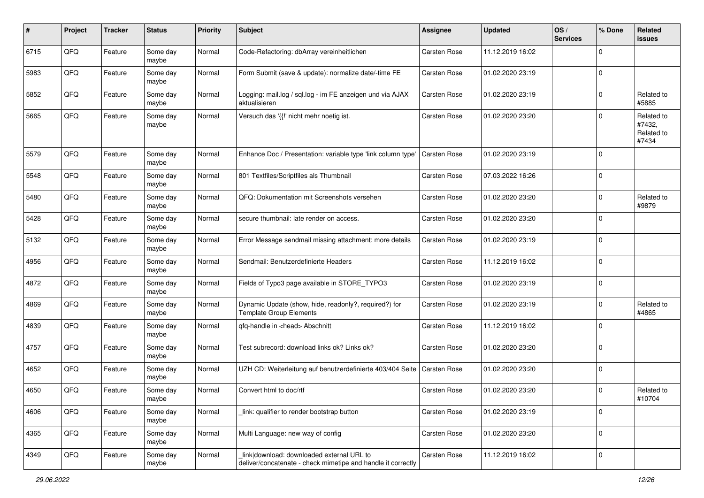| #    | Project | <b>Tracker</b> | <b>Status</b>     | <b>Priority</b> | <b>Subject</b>                                                                                            | <b>Assignee</b>     | <b>Updated</b>   | OS/<br><b>Services</b> | % Done      | Related<br>issues                           |
|------|---------|----------------|-------------------|-----------------|-----------------------------------------------------------------------------------------------------------|---------------------|------------------|------------------------|-------------|---------------------------------------------|
| 6715 | QFQ     | Feature        | Some day<br>maybe | Normal          | Code-Refactoring: dbArray vereinheitlichen                                                                | Carsten Rose        | 11.12.2019 16:02 |                        | $\Omega$    |                                             |
| 5983 | QFQ     | Feature        | Some day<br>maybe | Normal          | Form Submit (save & update): normalize date/-time FE                                                      | <b>Carsten Rose</b> | 01.02.2020 23:19 |                        | $\mathbf 0$ |                                             |
| 5852 | QFQ     | Feature        | Some day<br>maybe | Normal          | Logging: mail.log / sql.log - im FE anzeigen und via AJAX<br>aktualisieren                                | Carsten Rose        | 01.02.2020 23:19 |                        | $\mathbf 0$ | Related to<br>#5885                         |
| 5665 | QFQ     | Feature        | Some day<br>maybe | Normal          | Versuch das '{{!' nicht mehr noetig ist.                                                                  | Carsten Rose        | 01.02.2020 23:20 |                        | $\mathbf 0$ | Related to<br>#7432,<br>Related to<br>#7434 |
| 5579 | QFQ     | Feature        | Some day<br>maybe | Normal          | Enhance Doc / Presentation: variable type 'link column type'                                              | <b>Carsten Rose</b> | 01.02.2020 23:19 |                        | $\Omega$    |                                             |
| 5548 | QFQ     | Feature        | Some day<br>maybe | Normal          | 801 Textfiles/Scriptfiles als Thumbnail                                                                   | Carsten Rose        | 07.03.2022 16:26 |                        | $\Omega$    |                                             |
| 5480 | QFQ     | Feature        | Some day<br>maybe | Normal          | QFQ: Dokumentation mit Screenshots versehen                                                               | Carsten Rose        | 01.02.2020 23:20 |                        | $\mathbf 0$ | Related to<br>#9879                         |
| 5428 | QFQ     | Feature        | Some day<br>maybe | Normal          | secure thumbnail: late render on access.                                                                  | Carsten Rose        | 01.02.2020 23:20 |                        | $\Omega$    |                                             |
| 5132 | QFQ     | Feature        | Some day<br>maybe | Normal          | Error Message sendmail missing attachment: more details                                                   | Carsten Rose        | 01.02.2020 23:19 |                        | $\mathbf 0$ |                                             |
| 4956 | QFQ     | Feature        | Some day<br>maybe | Normal          | Sendmail: Benutzerdefinierte Headers                                                                      | Carsten Rose        | 11.12.2019 16:02 |                        | $\mathbf 0$ |                                             |
| 4872 | QFQ     | Feature        | Some day<br>maybe | Normal          | Fields of Typo3 page available in STORE_TYPO3                                                             | <b>Carsten Rose</b> | 01.02.2020 23:19 |                        | $\mathbf 0$ |                                             |
| 4869 | QFQ     | Feature        | Some day<br>maybe | Normal          | Dynamic Update (show, hide, readonly?, required?) for<br><b>Template Group Elements</b>                   | <b>Carsten Rose</b> | 01.02.2020 23:19 |                        | $\mathbf 0$ | Related to<br>#4865                         |
| 4839 | QFQ     | Feature        | Some day<br>maybe | Normal          | qfq-handle in <head> Abschnitt</head>                                                                     | Carsten Rose        | 11.12.2019 16:02 |                        | $\Omega$    |                                             |
| 4757 | QFQ     | Feature        | Some day<br>maybe | Normal          | Test subrecord: download links ok? Links ok?                                                              | Carsten Rose        | 01.02.2020 23:20 |                        | $\Omega$    |                                             |
| 4652 | QFQ     | Feature        | Some day<br>maybe | Normal          | UZH CD: Weiterleitung auf benutzerdefinierte 403/404 Seite   Carsten Rose                                 |                     | 01.02.2020 23:20 |                        | $\mathbf 0$ |                                             |
| 4650 | QFQ     | Feature        | Some day<br>maybe | Normal          | Convert html to doc/rtf                                                                                   | Carsten Rose        | 01.02.2020 23:20 |                        | 0           | Related to<br>#10704                        |
| 4606 | QFQ     | Feature        | Some day<br>maybe | Normal          | link: qualifier to render bootstrap button                                                                | Carsten Rose        | 01.02.2020 23:19 |                        | 0           |                                             |
| 4365 | QFQ     | Feature        | Some day<br>maybe | Normal          | Multi Language: new way of config                                                                         | Carsten Rose        | 01.02.2020 23:20 |                        | 0           |                                             |
| 4349 | QFQ     | Feature        | Some day<br>maybe | Normal          | link download: downloaded external URL to<br>deliver/concatenate - check mimetipe and handle it correctly | Carsten Rose        | 11.12.2019 16:02 |                        | $\mathbf 0$ |                                             |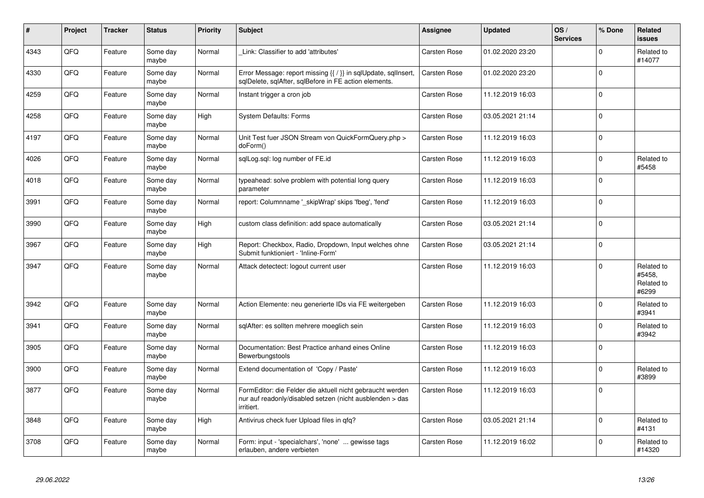| #    | Project | <b>Tracker</b> | <b>Status</b>     | <b>Priority</b> | <b>Subject</b>                                                                                                                      | Assignee            | <b>Updated</b>   | OS/<br><b>Services</b> | % Done    | Related<br>issues                           |
|------|---------|----------------|-------------------|-----------------|-------------------------------------------------------------------------------------------------------------------------------------|---------------------|------------------|------------------------|-----------|---------------------------------------------|
| 4343 | QFQ     | Feature        | Some day<br>maybe | Normal          | Link: Classifier to add 'attributes'                                                                                                | Carsten Rose        | 01.02.2020 23:20 |                        | $\Omega$  | Related to<br>#14077                        |
| 4330 | QFQ     | Feature        | Some day<br>maybe | Normal          | Error Message: report missing {{ / }} in sqlUpdate, sqlInsert,<br>sqlDelete, sqlAfter, sqlBefore in FE action elements.             | Carsten Rose        | 01.02.2020 23:20 |                        | 0         |                                             |
| 4259 | QFQ     | Feature        | Some day<br>maybe | Normal          | Instant trigger a cron job                                                                                                          | Carsten Rose        | 11.12.2019 16:03 |                        | $\Omega$  |                                             |
| 4258 | QFQ     | Feature        | Some day<br>maybe | High            | <b>System Defaults: Forms</b>                                                                                                       | Carsten Rose        | 03.05.2021 21:14 |                        | $\Omega$  |                                             |
| 4197 | QFQ     | Feature        | Some day<br>maybe | Normal          | Unit Test fuer JSON Stream von QuickFormQuery.php ><br>doForm()                                                                     | Carsten Rose        | 11.12.2019 16:03 |                        | $\Omega$  |                                             |
| 4026 | QFQ     | Feature        | Some day<br>maybe | Normal          | sqlLog.sql: log number of FE.id                                                                                                     | Carsten Rose        | 11.12.2019 16:03 |                        | $\pmb{0}$ | Related to<br>#5458                         |
| 4018 | QFQ     | Feature        | Some day<br>maybe | Normal          | typeahead: solve problem with potential long query<br>parameter                                                                     | <b>Carsten Rose</b> | 11.12.2019 16:03 |                        | $\Omega$  |                                             |
| 3991 | QFQ     | Feature        | Some day<br>maybe | Normal          | report: Columnname ' skipWrap' skips 'fbeg', 'fend'                                                                                 | Carsten Rose        | 11.12.2019 16:03 |                        | $\Omega$  |                                             |
| 3990 | QFQ     | Feature        | Some day<br>maybe | High            | custom class definition: add space automatically                                                                                    | Carsten Rose        | 03.05.2021 21:14 |                        | 0         |                                             |
| 3967 | QFQ     | Feature        | Some day<br>maybe | High            | Report: Checkbox, Radio, Dropdown, Input welches ohne<br>Submit funktioniert - 'Inline-Form'                                        | Carsten Rose        | 03.05.2021 21:14 |                        | $\Omega$  |                                             |
| 3947 | QFQ     | Feature        | Some day<br>maybe | Normal          | Attack detectect: logout current user                                                                                               | Carsten Rose        | 11.12.2019 16:03 |                        | $\Omega$  | Related to<br>#5458,<br>Related to<br>#6299 |
| 3942 | QFQ     | Feature        | Some day<br>maybe | Normal          | Action Elemente: neu generierte IDs via FE weitergeben                                                                              | Carsten Rose        | 11.12.2019 16:03 |                        | 0         | Related to<br>#3941                         |
| 3941 | QFQ     | Feature        | Some day<br>maybe | Normal          | sqlAfter: es sollten mehrere moeglich sein                                                                                          | <b>Carsten Rose</b> | 11.12.2019 16:03 |                        | $\Omega$  | Related to<br>#3942                         |
| 3905 | QFQ     | Feature        | Some day<br>maybe | Normal          | Documentation: Best Practice anhand eines Online<br>Bewerbungstools                                                                 | Carsten Rose        | 11.12.2019 16:03 |                        | $\Omega$  |                                             |
| 3900 | QFQ     | Feature        | Some day<br>maybe | Normal          | Extend documentation of 'Copy / Paste'                                                                                              | Carsten Rose        | 11.12.2019 16:03 |                        | $\Omega$  | Related to<br>#3899                         |
| 3877 | QFQ     | Feature        | Some day<br>maybe | Normal          | FormEditor: die Felder die aktuell nicht gebraucht werden<br>nur auf readonly/disabled setzen (nicht ausblenden > das<br>irritiert. | Carsten Rose        | 11.12.2019 16:03 |                        | 0         |                                             |
| 3848 | QFQ     | Feature        | Some day<br>maybe | High            | Antivirus check fuer Upload files in qfq?                                                                                           | Carsten Rose        | 03.05.2021 21:14 |                        | $\pmb{0}$ | Related to<br>#4131                         |
| 3708 | QFQ     | Feature        | Some day<br>maybe | Normal          | Form: input - 'specialchars', 'none'  gewisse tags<br>erlauben, andere verbieten                                                    | <b>Carsten Rose</b> | 11.12.2019 16:02 |                        | $\Omega$  | Related to<br>#14320                        |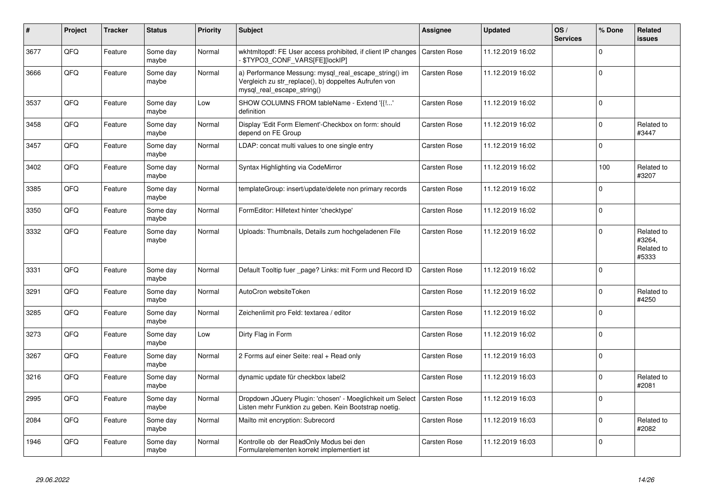| #    | Project | <b>Tracker</b> | <b>Status</b>     | <b>Priority</b> | <b>Subject</b>                                                                                                                               | <b>Assignee</b>     | <b>Updated</b>   | OS/<br><b>Services</b> | % Done      | Related<br><b>issues</b>                    |
|------|---------|----------------|-------------------|-----------------|----------------------------------------------------------------------------------------------------------------------------------------------|---------------------|------------------|------------------------|-------------|---------------------------------------------|
| 3677 | QFQ     | Feature        | Some day<br>maybe | Normal          | wkhtmltopdf: FE User access prohibited, if client IP changes<br>- \$TYPO3_CONF_VARS[FE][lockIP]                                              | <b>Carsten Rose</b> | 11.12.2019 16:02 |                        | $\mathbf 0$ |                                             |
| 3666 | QFQ     | Feature        | Some day<br>maybe | Normal          | a) Performance Messung: mysql_real_escape_string() im<br>Vergleich zu str_replace(), b) doppeltes Aufrufen von<br>mysql real escape string() | Carsten Rose        | 11.12.2019 16:02 |                        | $\mathbf 0$ |                                             |
| 3537 | QFQ     | Feature        | Some day<br>maybe | Low             | SHOW COLUMNS FROM tableName - Extend '{{!'<br>definition                                                                                     | Carsten Rose        | 11.12.2019 16:02 |                        | $\mathbf 0$ |                                             |
| 3458 | QFQ     | Feature        | Some day<br>maybe | Normal          | Display 'Edit Form Element'-Checkbox on form: should<br>depend on FE Group                                                                   | Carsten Rose        | 11.12.2019 16:02 |                        | $\pmb{0}$   | Related to<br>#3447                         |
| 3457 | QFQ     | Feature        | Some day<br>maybe | Normal          | LDAP: concat multi values to one single entry                                                                                                | Carsten Rose        | 11.12.2019 16:02 |                        | $\mathbf 0$ |                                             |
| 3402 | QFQ     | Feature        | Some day<br>maybe | Normal          | Syntax Highlighting via CodeMirror                                                                                                           | Carsten Rose        | 11.12.2019 16:02 |                        | 100         | Related to<br>#3207                         |
| 3385 | QFQ     | Feature        | Some day<br>maybe | Normal          | templateGroup: insert/update/delete non primary records                                                                                      | Carsten Rose        | 11.12.2019 16:02 |                        | $\mathbf 0$ |                                             |
| 3350 | QFQ     | Feature        | Some day<br>maybe | Normal          | FormEditor: Hilfetext hinter 'checktype'                                                                                                     | Carsten Rose        | 11.12.2019 16:02 |                        | $\mathbf 0$ |                                             |
| 3332 | QFQ     | Feature        | Some day<br>maybe | Normal          | Uploads: Thumbnails, Details zum hochgeladenen File                                                                                          | Carsten Rose        | 11.12.2019 16:02 |                        | $\mathbf 0$ | Related to<br>#3264,<br>Related to<br>#5333 |
| 3331 | QFQ     | Feature        | Some day<br>maybe | Normal          | Default Tooltip fuer page? Links: mit Form und Record ID                                                                                     | Carsten Rose        | 11.12.2019 16:02 |                        | $\mathbf 0$ |                                             |
| 3291 | QFQ     | Feature        | Some day<br>maybe | Normal          | AutoCron websiteToken                                                                                                                        | Carsten Rose        | 11.12.2019 16:02 |                        | $\mathbf 0$ | Related to<br>#4250                         |
| 3285 | QFQ     | Feature        | Some day<br>maybe | Normal          | Zeichenlimit pro Feld: textarea / editor                                                                                                     | Carsten Rose        | 11.12.2019 16:02 |                        | $\mathbf 0$ |                                             |
| 3273 | QFQ     | Feature        | Some day<br>maybe | Low             | Dirty Flag in Form                                                                                                                           | Carsten Rose        | 11.12.2019 16:02 |                        | $\mathbf 0$ |                                             |
| 3267 | QFQ     | Feature        | Some day<br>maybe | Normal          | 2 Forms auf einer Seite: real + Read only                                                                                                    | Carsten Rose        | 11.12.2019 16:03 |                        | $\pmb{0}$   |                                             |
| 3216 | QFQ     | Feature        | Some day<br>maybe | Normal          | dynamic update für checkbox label2                                                                                                           | Carsten Rose        | 11.12.2019 16:03 |                        | $\mathbf 0$ | Related to<br>#2081                         |
| 2995 | QFQ     | Feature        | Some day<br>maybe | Normal          | Dropdown JQuery Plugin: 'chosen' - Moeglichkeit um Select<br>Listen mehr Funktion zu geben. Kein Bootstrap noetig.                           | Carsten Rose        | 11.12.2019 16:03 |                        | $\mathbf 0$ |                                             |
| 2084 | QFQ     | Feature        | Some day<br>maybe | Normal          | Mailto mit encryption: Subrecord                                                                                                             | Carsten Rose        | 11.12.2019 16:03 |                        | $\pmb{0}$   | Related to<br>#2082                         |
| 1946 | QFQ     | Feature        | Some day<br>maybe | Normal          | Kontrolle ob der ReadOnly Modus bei den<br>Formularelementen korrekt implementiert ist                                                       | Carsten Rose        | 11.12.2019 16:03 |                        | $\mathbf 0$ |                                             |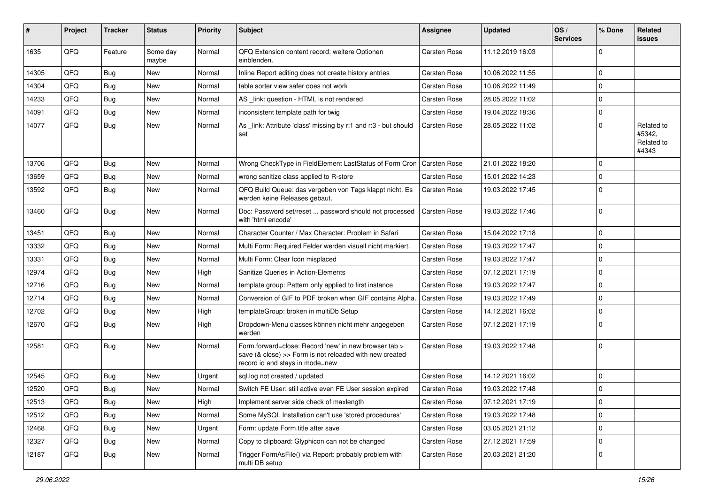| #     | Project | <b>Tracker</b> | <b>Status</b>     | <b>Priority</b> | Subject                                                                                                                                             | <b>Assignee</b> | <b>Updated</b>   | $\log$<br><b>Services</b> | % Done      | Related<br><b>issues</b>                    |
|-------|---------|----------------|-------------------|-----------------|-----------------------------------------------------------------------------------------------------------------------------------------------------|-----------------|------------------|---------------------------|-------------|---------------------------------------------|
| 1635  | QFQ     | Feature        | Some day<br>maybe | Normal          | QFQ Extension content record: weitere Optionen<br>einblenden.                                                                                       | Carsten Rose    | 11.12.2019 16:03 |                           | $\Omega$    |                                             |
| 14305 | QFQ     | <b>Bug</b>     | <b>New</b>        | Normal          | Inline Report editing does not create history entries                                                                                               | Carsten Rose    | 10.06.2022 11:55 |                           | $\Omega$    |                                             |
| 14304 | QFQ     | <b>Bug</b>     | New               | Normal          | table sorter view safer does not work                                                                                                               | Carsten Rose    | 10.06.2022 11:49 |                           | $\Omega$    |                                             |
| 14233 | QFQ     | <b>Bug</b>     | New               | Normal          | AS _link: question - HTML is not rendered                                                                                                           | Carsten Rose    | 28.05.2022 11:02 |                           | $\Omega$    |                                             |
| 14091 | QFQ     | Bug            | New               | Normal          | inconsistent template path for twig                                                                                                                 | Carsten Rose    | 19.04.2022 18:36 |                           | $\Omega$    |                                             |
| 14077 | QFQ     | Bug            | New               | Normal          | As _link: Attribute 'class' missing by r:1 and r:3 - but should<br>set                                                                              | Carsten Rose    | 28.05.2022 11:02 |                           | $\Omega$    | Related to<br>#5342,<br>Related to<br>#4343 |
| 13706 | QFQ     | <b>Bug</b>     | <b>New</b>        | Normal          | Wrong CheckType in FieldElement LastStatus of Form Cron                                                                                             | Carsten Rose    | 21.01.2022 18:20 |                           | $\Omega$    |                                             |
| 13659 | QFQ     | <b>Bug</b>     | New               | Normal          | wrong sanitize class applied to R-store                                                                                                             | Carsten Rose    | 15.01.2022 14:23 |                           | $\Omega$    |                                             |
| 13592 | QFQ     | Bug            | New               | Normal          | QFQ Build Queue: das vergeben von Tags klappt nicht. Es<br>werden keine Releases gebaut.                                                            | Carsten Rose    | 19.03.2022 17:45 |                           | $\Omega$    |                                             |
| 13460 | QFQ     | Bug            | New               | Normal          | Doc: Password set/reset  password should not processed<br>with 'html encode'                                                                        | Carsten Rose    | 19.03.2022 17:46 |                           | $\Omega$    |                                             |
| 13451 | QFQ     | <b>Bug</b>     | New               | Normal          | Character Counter / Max Character: Problem in Safari                                                                                                | Carsten Rose    | 15.04.2022 17:18 |                           | $\Omega$    |                                             |
| 13332 | QFQ     | <b>Bug</b>     | New               | Normal          | Multi Form: Required Felder werden visuell nicht markiert.                                                                                          | Carsten Rose    | 19.03.2022 17:47 |                           | $\Omega$    |                                             |
| 13331 | QFQ     | <b>Bug</b>     | New               | Normal          | Multi Form: Clear Icon misplaced                                                                                                                    | Carsten Rose    | 19.03.2022 17:47 |                           | $\Omega$    |                                             |
| 12974 | QFQ     | <b>Bug</b>     | New               | High            | Sanitize Queries in Action-Elements                                                                                                                 | Carsten Rose    | 07.12.2021 17:19 |                           | $\Omega$    |                                             |
| 12716 | QFQ     | Bug            | New               | Normal          | template group: Pattern only applied to first instance                                                                                              | Carsten Rose    | 19.03.2022 17:47 |                           | $\Omega$    |                                             |
| 12714 | QFQ     | <b>Bug</b>     | New               | Normal          | Conversion of GIF to PDF broken when GIF contains Alpha.                                                                                            | Carsten Rose    | 19.03.2022 17:49 |                           | $\Omega$    |                                             |
| 12702 | QFQ     | Bug            | New               | High            | templateGroup: broken in multiDb Setup                                                                                                              | Carsten Rose    | 14.12.2021 16:02 |                           | $\Omega$    |                                             |
| 12670 | QFQ     | Bug            | New               | High            | Dropdown-Menu classes können nicht mehr angegeben<br>werden                                                                                         | Carsten Rose    | 07.12.2021 17:19 |                           | $\Omega$    |                                             |
| 12581 | QFQ     | Bug            | New               | Normal          | Form.forward=close: Record 'new' in new browser tab ><br>save (& close) >> Form is not reloaded with new created<br>record id and stays in mode=new | Carsten Rose    | 19.03.2022 17:48 |                           | $\Omega$    |                                             |
| 12545 | QFQ     | <b>Bug</b>     | New               | Urgent          | sql.log not created / updated                                                                                                                       | Carsten Rose    | 14.12.2021 16:02 |                           | $\Omega$    |                                             |
| 12520 | QFQ     | <b>Bug</b>     | New               | Normal          | Switch FE User: still active even FE User session expired                                                                                           | Carsten Rose    | 19.03.2022 17:48 |                           | $\Omega$    |                                             |
| 12513 | QFQ     | <b>Bug</b>     | New               | High            | Implement server side check of maxlength                                                                                                            | Carsten Rose    | 07.12.2021 17:19 |                           | 0           |                                             |
| 12512 | QFQ     | <b>Bug</b>     | New               | Normal          | Some MySQL Installation can't use 'stored procedures'                                                                                               | Carsten Rose    | 19.03.2022 17:48 |                           | 0           |                                             |
| 12468 | QFQ     | <b>Bug</b>     | New               | Urgent          | Form: update Form.title after save                                                                                                                  | Carsten Rose    | 03.05.2021 21:12 |                           | $\mathbf 0$ |                                             |
| 12327 | QFQ     | <b>Bug</b>     | New               | Normal          | Copy to clipboard: Glyphicon can not be changed                                                                                                     | Carsten Rose    | 27.12.2021 17:59 |                           | 0           |                                             |
| 12187 | QFG     | <b>Bug</b>     | New               | Normal          | Trigger FormAsFile() via Report: probably problem with<br>multi DB setup                                                                            | Carsten Rose    | 20.03.2021 21:20 |                           | $\mathbf 0$ |                                             |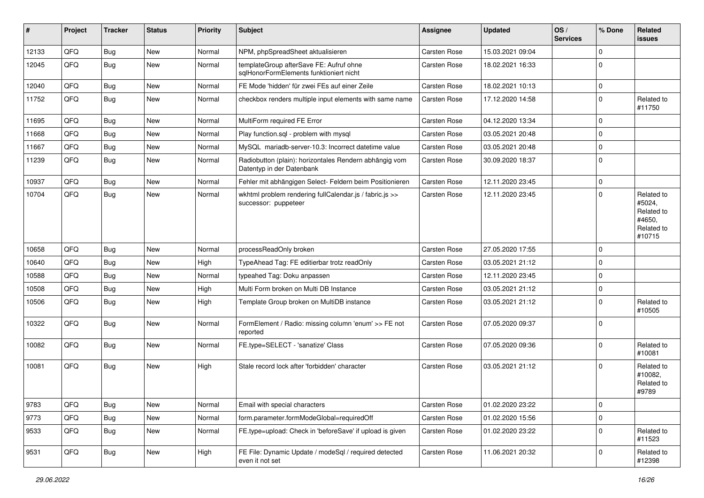| #     | Project | <b>Tracker</b> | <b>Status</b> | <b>Priority</b> | <b>Subject</b>                                                                      | Assignee     | <b>Updated</b>   | OS/<br><b>Services</b> | % Done      | Related<br>issues                                                    |
|-------|---------|----------------|---------------|-----------------|-------------------------------------------------------------------------------------|--------------|------------------|------------------------|-------------|----------------------------------------------------------------------|
| 12133 | QFQ     | <b>Bug</b>     | New           | Normal          | NPM, phpSpreadSheet aktualisieren                                                   | Carsten Rose | 15.03.2021 09:04 |                        | $\mathbf 0$ |                                                                      |
| 12045 | QFQ     | Bug            | <b>New</b>    | Normal          | templateGroup afterSave FE: Aufruf ohne<br>sqlHonorFormElements funktioniert nicht  | Carsten Rose | 18.02.2021 16:33 |                        | $\mathbf 0$ |                                                                      |
| 12040 | QFQ     | Bug            | New           | Normal          | FE Mode 'hidden' für zwei FEs auf einer Zeile                                       | Carsten Rose | 18.02.2021 10:13 |                        | $\mathbf 0$ |                                                                      |
| 11752 | QFQ     | <b>Bug</b>     | <b>New</b>    | Normal          | checkbox renders multiple input elements with same name                             | Carsten Rose | 17.12.2020 14:58 |                        | $\mathbf 0$ | Related to<br>#11750                                                 |
| 11695 | QFQ     | <b>Bug</b>     | New           | Normal          | MultiForm required FE Error                                                         | Carsten Rose | 04.12.2020 13:34 |                        | $\mathbf 0$ |                                                                      |
| 11668 | QFQ     | Bug            | New           | Normal          | Play function.sql - problem with mysql                                              | Carsten Rose | 03.05.2021 20:48 |                        | $\mathbf 0$ |                                                                      |
| 11667 | QFQ     | <b>Bug</b>     | <b>New</b>    | Normal          | MySQL mariadb-server-10.3: Incorrect datetime value                                 | Carsten Rose | 03.05.2021 20:48 |                        | $\mathbf 0$ |                                                                      |
| 11239 | QFQ     | <b>Bug</b>     | <b>New</b>    | Normal          | Radiobutton (plain): horizontales Rendern abhängig vom<br>Datentyp in der Datenbank | Carsten Rose | 30.09.2020 18:37 |                        | $\mathbf 0$ |                                                                      |
| 10937 | QFQ     | Bug            | New           | Normal          | Fehler mit abhängigen Select- Feldern beim Positionieren                            | Carsten Rose | 12.11.2020 23:45 |                        | $\mathbf 0$ |                                                                      |
| 10704 | QFQ     | <b>Bug</b>     | <b>New</b>    | Normal          | wkhtml problem rendering fullCalendar.js / fabric.js >><br>successor: puppeteer     | Carsten Rose | 12.11.2020 23:45 |                        | $\mathbf 0$ | Related to<br>#5024,<br>Related to<br>#4650,<br>Related to<br>#10715 |
| 10658 | QFQ     | Bug            | <b>New</b>    | Normal          | processReadOnly broken                                                              | Carsten Rose | 27.05.2020 17:55 |                        | $\mathbf 0$ |                                                                      |
| 10640 | QFQ     | Bug            | <b>New</b>    | High            | TypeAhead Tag: FE editierbar trotz readOnly                                         | Carsten Rose | 03.05.2021 21:12 |                        | $\mathbf 0$ |                                                                      |
| 10588 | QFQ     | Bug            | <b>New</b>    | Normal          | typeahed Tag: Doku anpassen                                                         | Carsten Rose | 12.11.2020 23:45 |                        | $\pmb{0}$   |                                                                      |
| 10508 | QFQ     | <b>Bug</b>     | <b>New</b>    | High            | Multi Form broken on Multi DB Instance                                              | Carsten Rose | 03.05.2021 21:12 |                        | $\pmb{0}$   |                                                                      |
| 10506 | QFQ     | <b>Bug</b>     | New           | High            | Template Group broken on MultiDB instance                                           | Carsten Rose | 03.05.2021 21:12 |                        | $\mathbf 0$ | Related to<br>#10505                                                 |
| 10322 | QFQ     | <b>Bug</b>     | <b>New</b>    | Normal          | FormElement / Radio: missing column 'enum' >> FE not<br>reported                    | Carsten Rose | 07.05.2020 09:37 |                        | $\mathbf 0$ |                                                                      |
| 10082 | QFQ     | <b>Bug</b>     | <b>New</b>    | Normal          | FE.type=SELECT - 'sanatize' Class                                                   | Carsten Rose | 07.05.2020 09:36 |                        | $\mathbf 0$ | Related to<br>#10081                                                 |
| 10081 | QFQ     | Bug            | New           | High            | Stale record lock after 'forbidden' character                                       | Carsten Rose | 03.05.2021 21:12 |                        | $\Omega$    | Related to<br>#10082,<br>Related to<br>#9789                         |
| 9783  | QFQ     | <b>Bug</b>     | New           | Normal          | Email with special characters                                                       | Carsten Rose | 01.02.2020 23:22 |                        | $\pmb{0}$   |                                                                      |
| 9773  | QFQ     | <b>Bug</b>     | New           | Normal          | form.parameter.formModeGlobal=requiredOff                                           | Carsten Rose | 01.02.2020 15:56 |                        | $\pmb{0}$   |                                                                      |
| 9533  | QFQ     | <b>Bug</b>     | New           | Normal          | FE.type=upload: Check in 'beforeSave' if upload is given                            | Carsten Rose | 01.02.2020 23:22 |                        | 0           | Related to<br>#11523                                                 |
| 9531  | QFQ     | <b>Bug</b>     | New           | High            | FE File: Dynamic Update / modeSql / required detected<br>even it not set            | Carsten Rose | 11.06.2021 20:32 |                        | $\mathbf 0$ | Related to<br>#12398                                                 |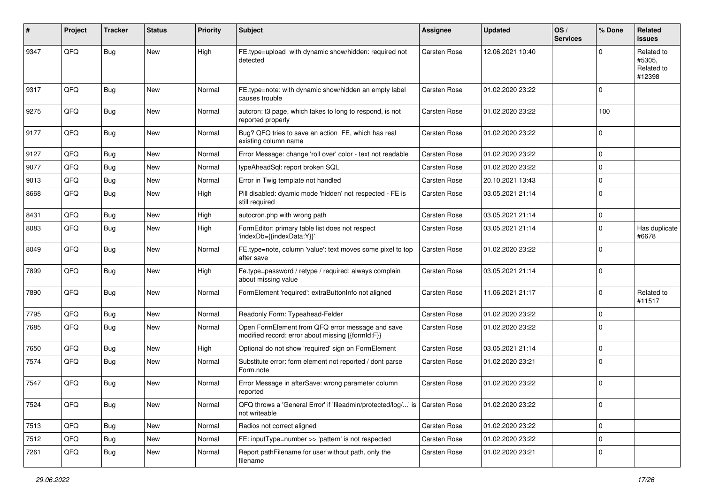| #    | Project | <b>Tracker</b> | <b>Status</b> | <b>Priority</b> | <b>Subject</b>                                                                                        | Assignee            | <b>Updated</b>   | OS/<br><b>Services</b> | % Done      | Related<br><b>issues</b>                     |
|------|---------|----------------|---------------|-----------------|-------------------------------------------------------------------------------------------------------|---------------------|------------------|------------------------|-------------|----------------------------------------------|
| 9347 | QFQ     | Bug            | <b>New</b>    | High            | FE.type=upload with dynamic show/hidden: required not<br>detected                                     | Carsten Rose        | 12.06.2021 10:40 |                        | $\Omega$    | Related to<br>#5305,<br>Related to<br>#12398 |
| 9317 | QFQ     | <b>Bug</b>     | <b>New</b>    | Normal          | FE.type=note: with dynamic show/hidden an empty label<br>causes trouble                               | Carsten Rose        | 01.02.2020 23:22 |                        | $\mathbf 0$ |                                              |
| 9275 | QFQ     | <b>Bug</b>     | New           | Normal          | autcron: t3 page, which takes to long to respond, is not<br>reported properly                         | <b>Carsten Rose</b> | 01.02.2020 23:22 |                        | 100         |                                              |
| 9177 | QFQ     | Bug            | New           | Normal          | Bug? QFQ tries to save an action FE, which has real<br>existing column name                           | Carsten Rose        | 01.02.2020 23:22 |                        | $\mathbf 0$ |                                              |
| 9127 | QFQ     | Bug            | <b>New</b>    | Normal          | Error Message: change 'roll over' color - text not readable                                           | Carsten Rose        | 01.02.2020 23:22 |                        | $\mathbf 0$ |                                              |
| 9077 | QFQ     | <b>Bug</b>     | <b>New</b>    | Normal          | typeAheadSql: report broken SQL                                                                       | Carsten Rose        | 01.02.2020 23:22 |                        | $\mathbf 0$ |                                              |
| 9013 | QFQ     | Bug            | <b>New</b>    | Normal          | Error in Twig template not handled                                                                    | Carsten Rose        | 20.10.2021 13:43 |                        | $\mathbf 0$ |                                              |
| 8668 | QFQ     | <b>Bug</b>     | New           | High            | Pill disabled: dyamic mode 'hidden' not respected - FE is<br>still required                           | Carsten Rose        | 03.05.2021 21:14 |                        | $\mathbf 0$ |                                              |
| 8431 | QFQ     | Bug            | New           | High            | autocron.php with wrong path                                                                          | Carsten Rose        | 03.05.2021 21:14 |                        | $\pmb{0}$   |                                              |
| 8083 | QFQ     | <b>Bug</b>     | New           | High            | FormEditor: primary table list does not respect<br>'indexDb={{indexData:Y}}'                          | Carsten Rose        | 03.05.2021 21:14 |                        | $\Omega$    | Has duplicate<br>#6678                       |
| 8049 | QFQ     | Bug            | <b>New</b>    | Normal          | FE.type=note, column 'value': text moves some pixel to top<br>after save                              | Carsten Rose        | 01.02.2020 23:22 |                        | $\Omega$    |                                              |
| 7899 | QFQ     | <b>Bug</b>     | <b>New</b>    | High            | Fe.type=password / retype / required: always complain<br>about missing value                          | Carsten Rose        | 03.05.2021 21:14 |                        | $\mathbf 0$ |                                              |
| 7890 | QFQ     | Bug            | <b>New</b>    | Normal          | FormElement 'required': extraButtonInfo not aligned                                                   | Carsten Rose        | 11.06.2021 21:17 |                        | $\mathbf 0$ | Related to<br>#11517                         |
| 7795 | QFQ     | <b>Bug</b>     | <b>New</b>    | Normal          | Readonly Form: Typeahead-Felder                                                                       | Carsten Rose        | 01.02.2020 23:22 |                        | $\mathbf 0$ |                                              |
| 7685 | QFQ     | Bug            | <b>New</b>    | Normal          | Open FormElement from QFQ error message and save<br>modified record: error about missing {{formId:F}} | Carsten Rose        | 01.02.2020 23:22 |                        | $\Omega$    |                                              |
| 7650 | QFQ     | <b>Bug</b>     | <b>New</b>    | High            | Optional do not show 'required' sign on FormElement                                                   | Carsten Rose        | 03.05.2021 21:14 |                        | $\mathbf 0$ |                                              |
| 7574 | QFQ     | <b>Bug</b>     | <b>New</b>    | Normal          | Substitute error: form element not reported / dont parse<br>Form.note                                 | Carsten Rose        | 01.02.2020 23:21 |                        | $\Omega$    |                                              |
| 7547 | QFQ     | Bug            | New           | Normal          | Error Message in afterSave: wrong parameter column<br>reported                                        | <b>Carsten Rose</b> | 01.02.2020 23:22 |                        | $\mathbf 0$ |                                              |
| 7524 | QFQ     | Bug            | New           | Normal          | QFQ throws a 'General Error' if 'fileadmin/protected/log/' is Carsten Rose<br>not writeable           |                     | 01.02.2020 23:22 |                        | 0           |                                              |
| 7513 | QFQ     | <b>Bug</b>     | New           | Normal          | Radios not correct aligned                                                                            | Carsten Rose        | 01.02.2020 23:22 |                        | $\mathbf 0$ |                                              |
| 7512 | QFQ     | <b>Bug</b>     | New           | Normal          | FE: inputType=number >> 'pattern' is not respected                                                    | Carsten Rose        | 01.02.2020 23:22 |                        | $\pmb{0}$   |                                              |
| 7261 | QFG     | <b>Bug</b>     | New           | Normal          | Report pathFilename for user without path, only the<br>filename                                       | Carsten Rose        | 01.02.2020 23:21 |                        | 0           |                                              |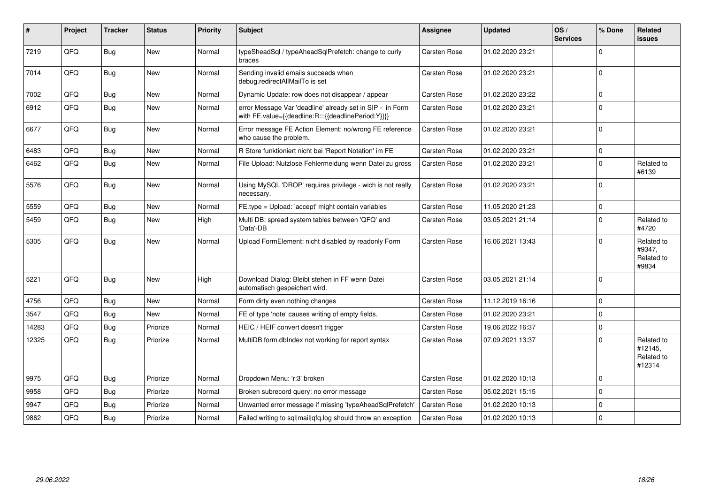| #     | Project | <b>Tracker</b> | <b>Status</b> | <b>Priority</b> | <b>Subject</b>                                                                                                   | <b>Assignee</b> | <b>Updated</b>   | OS/<br><b>Services</b> | % Done   | Related<br><b>issues</b>                      |
|-------|---------|----------------|---------------|-----------------|------------------------------------------------------------------------------------------------------------------|-----------------|------------------|------------------------|----------|-----------------------------------------------|
| 7219  | QFQ     | Bug            | <b>New</b>    | Normal          | typeSheadSql / typeAheadSqlPrefetch: change to curly<br>braces                                                   | Carsten Rose    | 01.02.2020 23:21 |                        | $\Omega$ |                                               |
| 7014  | QFQ     | Bug            | New           | Normal          | Sending invalid emails succeeds when<br>debug.redirectAllMailTo is set                                           | Carsten Rose    | 01.02.2020 23:21 |                        | $\Omega$ |                                               |
| 7002  | QFQ     | Bug            | <b>New</b>    | Normal          | Dynamic Update: row does not disappear / appear                                                                  | Carsten Rose    | 01.02.2020 23:22 |                        | $\Omega$ |                                               |
| 6912  | QFQ     | Bug            | <b>New</b>    | Normal          | error Message Var 'deadline' already set in SIP - in Form<br>with FE.value={{deadline:R:::{{deadlinePeriod:Y}}}} | Carsten Rose    | 01.02.2020 23:21 |                        | $\Omega$ |                                               |
| 6677  | QFQ     | Bug            | New           | Normal          | Error message FE Action Element: no/wrong FE reference<br>who cause the problem.                                 | Carsten Rose    | 01.02.2020 23:21 |                        | $\Omega$ |                                               |
| 6483  | QFQ     | Bug            | <b>New</b>    | Normal          | R Store funktioniert nicht bei 'Report Notation' im FE                                                           | Carsten Rose    | 01.02.2020 23:21 |                        | $\Omega$ |                                               |
| 6462  | QFQ     | Bug            | New           | Normal          | File Upload: Nutzlose Fehlermeldung wenn Datei zu gross                                                          | Carsten Rose    | 01.02.2020 23:21 |                        | $\Omega$ | Related to<br>#6139                           |
| 5576  | QFQ     | Bug            | New           | Normal          | Using MySQL 'DROP' requires privilege - wich is not really<br>necessary.                                         | Carsten Rose    | 01.02.2020 23:21 |                        | $\Omega$ |                                               |
| 5559  | QFQ     | <b>Bug</b>     | New           | Normal          | FE.type = Upload: 'accept' might contain variables                                                               | Carsten Rose    | 11.05.2020 21:23 |                        | $\Omega$ |                                               |
| 5459  | QFQ     | Bug            | New           | High            | Multi DB: spread system tables between 'QFQ' and<br>'Data'-DB                                                    | Carsten Rose    | 03.05.2021 21:14 |                        | $\Omega$ | Related to<br>#4720                           |
| 5305  | QFQ     | Bug            | New           | Normal          | Upload FormElement: nicht disabled by readonly Form                                                              | Carsten Rose    | 16.06.2021 13:43 |                        | $\Omega$ | Related to<br>#9347,<br>Related to<br>#9834   |
| 5221  | QFQ     | Bug            | <b>New</b>    | High            | Download Dialog: Bleibt stehen in FF wenn Datei<br>automatisch gespeichert wird.                                 | Carsten Rose    | 03.05.2021 21:14 |                        | $\Omega$ |                                               |
| 4756  | QFQ     | Bug            | <b>New</b>    | Normal          | Form dirty even nothing changes                                                                                  | Carsten Rose    | 11.12.2019 16:16 |                        | $\Omega$ |                                               |
| 3547  | QFQ     | <b>Bug</b>     | New           | Normal          | FE of type 'note' causes writing of empty fields.                                                                | Carsten Rose    | 01.02.2020 23:21 |                        | $\Omega$ |                                               |
| 14283 | QFQ     | Bug            | Priorize      | Normal          | HEIC / HEIF convert doesn't trigger                                                                              | Carsten Rose    | 19.06.2022 16:37 |                        | $\Omega$ |                                               |
| 12325 | QFQ     | Bug            | Priorize      | Normal          | MultiDB form.dblndex not working for report syntax                                                               | Carsten Rose    | 07.09.2021 13:37 |                        | $\Omega$ | Related to<br>#12145,<br>Related to<br>#12314 |
| 9975  | QFQ     | <b>Bug</b>     | Priorize      | Normal          | Dropdown Menu: 'r:3' broken                                                                                      | Carsten Rose    | 01.02.2020 10:13 |                        | $\Omega$ |                                               |
| 9958  | QFQ     | Bug            | Priorize      | Normal          | Broken subrecord query: no error message                                                                         | Carsten Rose    | 05.02.2021 15:15 |                        | $\Omega$ |                                               |
| 9947  | QFQ     | <b>Bug</b>     | Priorize      | Normal          | Unwanted error message if missing 'typeAheadSqlPrefetch'                                                         | Carsten Rose    | 01.02.2020 10:13 |                        | $\Omega$ |                                               |
| 9862  | QFQ     | <b>Bug</b>     | Priorize      | Normal          | Failed writing to sql mail qfq.log should throw an exception                                                     | Carsten Rose    | 01.02.2020 10:13 |                        | $\Omega$ |                                               |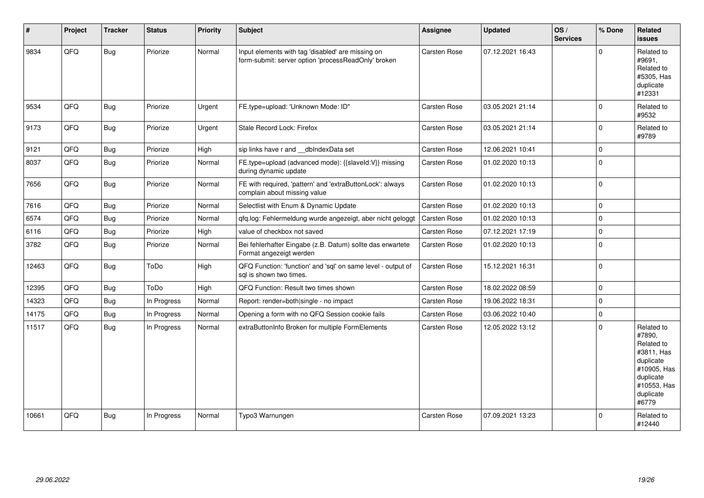| #     | Project | <b>Tracker</b> | <b>Status</b> | Priority | Subject                                                                                                  | Assignee            | <b>Updated</b>   | OS/<br><b>Services</b> | % Done      | Related<br><b>issues</b>                                                                                                       |
|-------|---------|----------------|---------------|----------|----------------------------------------------------------------------------------------------------------|---------------------|------------------|------------------------|-------------|--------------------------------------------------------------------------------------------------------------------------------|
| 9834  | QFQ     | <b>Bug</b>     | Priorize      | Normal   | Input elements with tag 'disabled' are missing on<br>form-submit: server option 'processReadOnly' broken | Carsten Rose        | 07.12.2021 16:43 |                        | $\Omega$    | Related to<br>#9691,<br>Related to<br>#5305, Has<br>duplicate<br>#12331                                                        |
| 9534  | QFQ     | <b>Bug</b>     | Priorize      | Urgent   | FE.type=upload: 'Unknown Mode: ID"                                                                       | Carsten Rose        | 03.05.2021 21:14 |                        | $\Omega$    | Related to<br>#9532                                                                                                            |
| 9173  | QFQ     | <b>Bug</b>     | Priorize      | Urgent   | Stale Record Lock: Firefox                                                                               | Carsten Rose        | 03.05.2021 21:14 |                        | $\Omega$    | Related to<br>#9789                                                                                                            |
| 9121  | QFQ     | <b>Bug</b>     | Priorize      | High     | sip links have r and __dbIndexData set                                                                   | Carsten Rose        | 12.06.2021 10:41 |                        | $\Omega$    |                                                                                                                                |
| 8037  | QFQ     | Bug            | Priorize      | Normal   | FE.type=upload (advanced mode): {{slaveld:V}} missing<br>during dynamic update                           | Carsten Rose        | 01.02.2020 10:13 |                        | $\Omega$    |                                                                                                                                |
| 7656  | QFQ     | <b>Bug</b>     | Priorize      | Normal   | FE with required, 'pattern' and 'extraButtonLock': always<br>complain about missing value                | Carsten Rose        | 01.02.2020 10:13 |                        | $\Omega$    |                                                                                                                                |
| 7616  | QFQ     | <b>Bug</b>     | Priorize      | Normal   | Selectlist with Enum & Dynamic Update                                                                    | Carsten Rose        | 01.02.2020 10:13 |                        | $\Omega$    |                                                                                                                                |
| 6574  | QFQ     | Bug            | Priorize      | Normal   | qfq.log: Fehlermeldung wurde angezeigt, aber nicht geloggt                                               | Carsten Rose        | 01.02.2020 10:13 |                        | $\Omega$    |                                                                                                                                |
| 6116  | QFQ     | <b>Bug</b>     | Priorize      | High     | value of checkbox not saved                                                                              | Carsten Rose        | 07.12.2021 17:19 |                        | $\Omega$    |                                                                                                                                |
| 3782  | QFQ     | Bug            | Priorize      | Normal   | Bei fehlerhafter Eingabe (z.B. Datum) sollte das erwartete<br>Format angezeigt werden                    | Carsten Rose        | 01.02.2020 10:13 |                        | $\Omega$    |                                                                                                                                |
| 12463 | QFQ     | Bug            | ToDo          | High     | QFQ Function: 'function' and 'sql' on same level - output of<br>sal is shown two times.                  | Carsten Rose        | 15.12.2021 16:31 |                        | $\Omega$    |                                                                                                                                |
| 12395 | QFQ     | <b>Bug</b>     | ToDo          | High     | QFQ Function: Result two times shown                                                                     | <b>Carsten Rose</b> | 18.02.2022 08:59 |                        | $\Omega$    |                                                                                                                                |
| 14323 | QFQ     | <b>Bug</b>     | In Progress   | Normal   | Report: render=both single - no impact                                                                   | Carsten Rose        | 19.06.2022 18:31 |                        | $\Omega$    |                                                                                                                                |
| 14175 | QFQ     | <b>Bug</b>     | In Progress   | Normal   | Opening a form with no QFQ Session cookie fails                                                          | Carsten Rose        | 03.06.2022 10:40 |                        | $\mathbf 0$ |                                                                                                                                |
| 11517 | QFQ     | <b>Bug</b>     | In Progress   | Normal   | extraButtonInfo Broken for multiple FormElements                                                         | Carsten Rose        | 12.05.2022 13:12 |                        | $\Omega$    | Related to<br>#7890.<br>Related to<br>#3811, Has<br>duplicate<br>#10905, Has<br>duplicate<br>#10553, Has<br>duplicate<br>#6779 |
| 10661 | QFQ     | <b>Bug</b>     | In Progress   | Normal   | Typo3 Warnungen                                                                                          | Carsten Rose        | 07.09.2021 13:23 |                        | $\Omega$    | Related to<br>#12440                                                                                                           |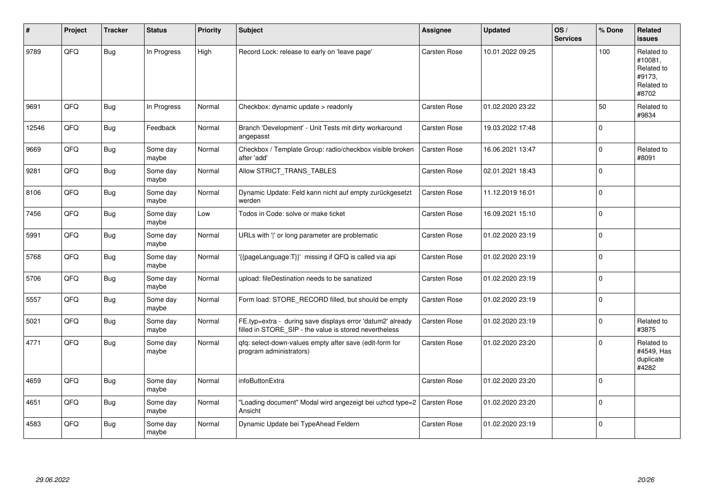| #     | Project | <b>Tracker</b> | <b>Status</b>     | <b>Priority</b> | <b>Subject</b>                                                                                                       | <b>Assignee</b>     | <b>Updated</b>   | OS/<br><b>Services</b> | % Done      | Related<br><b>issues</b>                                             |
|-------|---------|----------------|-------------------|-----------------|----------------------------------------------------------------------------------------------------------------------|---------------------|------------------|------------------------|-------------|----------------------------------------------------------------------|
| 9789  | QFQ     | <b>Bug</b>     | In Progress       | High            | Record Lock: release to early on 'leave page'                                                                        | <b>Carsten Rose</b> | 10.01.2022 09:25 |                        | 100         | Related to<br>#10081,<br>Related to<br>#9173,<br>Related to<br>#8702 |
| 9691  | QFQ     | <b>Bug</b>     | In Progress       | Normal          | Checkbox: dynamic update > readonly                                                                                  | Carsten Rose        | 01.02.2020 23:22 |                        | 50          | Related to<br>#9834                                                  |
| 12546 | QFQ     | <b>Bug</b>     | Feedback          | Normal          | Branch 'Development' - Unit Tests mit dirty workaround<br>angepasst                                                  | Carsten Rose        | 19.03.2022 17:48 |                        | $\mathbf 0$ |                                                                      |
| 9669  | QFQ     | Bug            | Some day<br>maybe | Normal          | Checkbox / Template Group: radio/checkbox visible broken<br>after 'add'                                              | Carsten Rose        | 16.06.2021 13:47 |                        | $\mathbf 0$ | Related to<br>#8091                                                  |
| 9281  | QFQ     | Bug            | Some day<br>maybe | Normal          | Allow STRICT_TRANS_TABLES                                                                                            | Carsten Rose        | 02.01.2021 18:43 |                        | $\mathbf 0$ |                                                                      |
| 8106  | QFQ     | <b>Bug</b>     | Some day<br>maybe | Normal          | Dynamic Update: Feld kann nicht auf empty zurückgesetzt<br>werden                                                    | Carsten Rose        | 11.12.2019 16:01 |                        | $\pmb{0}$   |                                                                      |
| 7456  | QFQ     | Bug            | Some day<br>maybe | Low             | Todos in Code: solve or make ticket                                                                                  | Carsten Rose        | 16.09.2021 15:10 |                        | $\mathbf 0$ |                                                                      |
| 5991  | QFQ     | <b>Bug</b>     | Some day<br>maybe | Normal          | URLs with ' ' or long parameter are problematic                                                                      | Carsten Rose        | 01.02.2020 23:19 |                        | $\mathbf 0$ |                                                                      |
| 5768  | QFQ     | Bug            | Some day<br>maybe | Normal          | '{{pageLanguage:T}}' missing if QFQ is called via api                                                                | Carsten Rose        | 01.02.2020 23:19 |                        | $\Omega$    |                                                                      |
| 5706  | QFQ     | Bug            | Some day<br>maybe | Normal          | upload: fileDestination needs to be sanatized                                                                        | Carsten Rose        | 01.02.2020 23:19 |                        | $\mathbf 0$ |                                                                      |
| 5557  | QFQ     | <b>Bug</b>     | Some day<br>maybe | Normal          | Form load: STORE RECORD filled, but should be empty                                                                  | Carsten Rose        | 01.02.2020 23:19 |                        | $\Omega$    |                                                                      |
| 5021  | QFQ     | Bug            | Some day<br>maybe | Normal          | FE.typ=extra - during save displays error 'datum2' already<br>filled in STORE_SIP - the value is stored nevertheless | Carsten Rose        | 01.02.2020 23:19 |                        | $\Omega$    | Related to<br>#3875                                                  |
| 4771  | QFQ     | Bug            | Some day<br>maybe | Normal          | gfg: select-down-values empty after save (edit-form for<br>program administrators)                                   | Carsten Rose        | 01.02.2020 23:20 |                        | $\mathbf 0$ | Related to<br>#4549, Has<br>duplicate<br>#4282                       |
| 4659  | QFQ     | <b>Bug</b>     | Some day<br>maybe | Normal          | infoButtonExtra                                                                                                      | Carsten Rose        | 01.02.2020 23:20 |                        | $\Omega$    |                                                                      |
| 4651  | QFQ     | <b>Bug</b>     | Some day<br>maybe | Normal          | Loading document" Modal wird angezeigt bei uzhcd type=2<br>Ansicht                                                   | <b>Carsten Rose</b> | 01.02.2020 23:20 |                        | $\mathbf 0$ |                                                                      |
| 4583  | QFQ     | Bug            | Some day<br>maybe | Normal          | Dynamic Update bei TypeAhead Feldern                                                                                 | Carsten Rose        | 01.02.2020 23:19 |                        | $\Omega$    |                                                                      |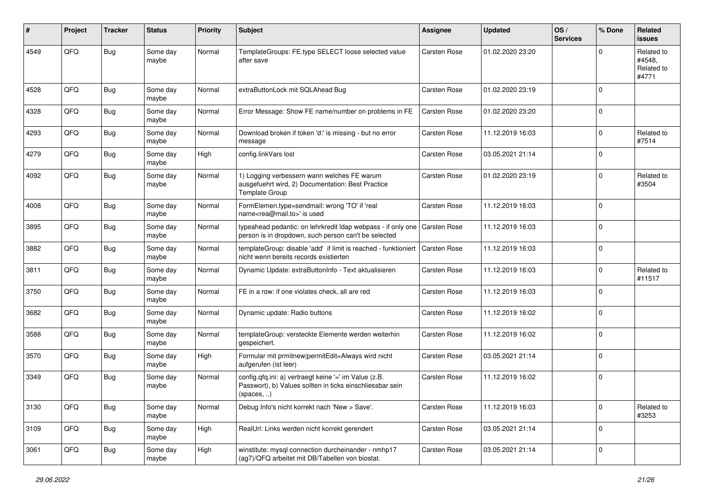| #    | Project | <b>Tracker</b> | <b>Status</b>     | <b>Priority</b> | <b>Subject</b>                                                                                                                   | <b>Assignee</b>     | <b>Updated</b>   | OS/<br><b>Services</b> | % Done      | Related<br><b>issues</b>                    |
|------|---------|----------------|-------------------|-----------------|----------------------------------------------------------------------------------------------------------------------------------|---------------------|------------------|------------------------|-------------|---------------------------------------------|
| 4549 | QFQ     | Bug            | Some day<br>maybe | Normal          | TemplateGroups: FE.type SELECT loose selected value<br>after save                                                                | <b>Carsten Rose</b> | 01.02.2020 23:20 |                        | $\Omega$    | Related to<br>#4548,<br>Related to<br>#4771 |
| 4528 | QFQ     | <b>Bug</b>     | Some day<br>maybe | Normal          | extraButtonLock mit SQLAhead Bug                                                                                                 | Carsten Rose        | 01.02.2020 23:19 |                        | $\Omega$    |                                             |
| 4328 | QFQ     | <b>Bug</b>     | Some day<br>maybe | Normal          | Error Message: Show FE name/number on problems in FE                                                                             | Carsten Rose        | 01.02.2020 23:20 |                        | $\mathbf 0$ |                                             |
| 4293 | QFQ     | Bug            | Some day<br>maybe | Normal          | Download broken if token 'd:' is missing - but no error<br>message                                                               | Carsten Rose        | 11.12.2019 16:03 |                        | $\mathbf 0$ | Related to<br>#7514                         |
| 4279 | QFQ     | <b>Bug</b>     | Some day<br>maybe | High            | config.linkVars lost                                                                                                             | Carsten Rose        | 03.05.2021 21:14 |                        | $\Omega$    |                                             |
| 4092 | QFQ     | Bug            | Some day<br>maybe | Normal          | 1) Logging verbessern wann welches FE warum<br>ausgefuehrt wird, 2) Documentation: Best Practice<br>Template Group               | Carsten Rose        | 01.02.2020 23:19 |                        | $\mathbf 0$ | Related to<br>#3504                         |
| 4008 | QFQ     | <b>Bug</b>     | Some day<br>maybe | Normal          | FormElemen.type=sendmail: wrong 'TO' if 'real<br>name <rea@mail.to>' is used</rea@mail.to>                                       | <b>Carsten Rose</b> | 11.12.2019 16:03 |                        | $\mathbf 0$ |                                             |
| 3895 | QFQ     | Bug            | Some day<br>maybe | Normal          | typeahead pedantic: on lehrkredit Idap webpass - if only one<br>person is in dropdown, such person can't be selected             | Carsten Rose        | 11.12.2019 16:03 |                        | $\mathbf 0$ |                                             |
| 3882 | QFQ     | Bug            | Some day<br>maybe | Normal          | templateGroup: disable 'add' if limit is reached - funktioniert<br>nicht wenn bereits records existierten                        | Carsten Rose        | 11.12.2019 16:03 |                        | $\mathbf 0$ |                                             |
| 3811 | QFQ     | Bug            | Some day<br>maybe | Normal          | Dynamic Update: extraButtonInfo - Text aktualisieren                                                                             | Carsten Rose        | 11.12.2019 16:03 |                        | $\Omega$    | Related to<br>#11517                        |
| 3750 | QFQ     | Bug            | Some day<br>maybe | Normal          | FE in a row: if one violates check, all are red                                                                                  | Carsten Rose        | 11.12.2019 16:03 |                        | $\mathbf 0$ |                                             |
| 3682 | QFQ     | Bug            | Some day<br>maybe | Normal          | Dynamic update: Radio buttons                                                                                                    | Carsten Rose        | 11.12.2019 16:02 |                        | $\mathbf 0$ |                                             |
| 3588 | QFQ     | Bug            | Some day<br>maybe | Normal          | templateGroup: versteckte Elemente werden weiterhin<br>gespeichert.                                                              | Carsten Rose        | 11.12.2019 16:02 |                        | $\mathbf 0$ |                                             |
| 3570 | QFQ     | <b>Bug</b>     | Some day<br>maybe | High            | Formular mit prmitnew permitEdit=Always wird nicht<br>aufgerufen (ist leer)                                                      | <b>Carsten Rose</b> | 03.05.2021 21:14 |                        | $\mathbf 0$ |                                             |
| 3349 | QFQ     | Bug            | Some day<br>maybe | Normal          | config.qfq.ini: a) vertraegt keine '=' im Value (z.B.<br>Passwort), b) Values sollten in ticks einschliessbar sein<br>(spaces, ) | Carsten Rose        | 11.12.2019 16:02 |                        | $\mathbf 0$ |                                             |
| 3130 | QFQ     | Bug            | Some day<br>maybe | Normal          | Debug Info's nicht korrekt nach 'New > Save'.                                                                                    | Carsten Rose        | 11.12.2019 16:03 |                        | $\mathbf 0$ | Related to<br>#3253                         |
| 3109 | QFQ     | Bug            | Some day<br>maybe | High            | RealUrl: Links werden nicht korrekt gerendert                                                                                    | Carsten Rose        | 03.05.2021 21:14 |                        | $\mathbf 0$ |                                             |
| 3061 | QFQ     | <b>Bug</b>     | Some day<br>maybe | High            | winstitute: mysql connection durcheinander - nmhp17<br>(ag7)/QFQ arbeitet mit DB/Tabellen von biostat.                           | Carsten Rose        | 03.05.2021 21:14 |                        | $\mathbf 0$ |                                             |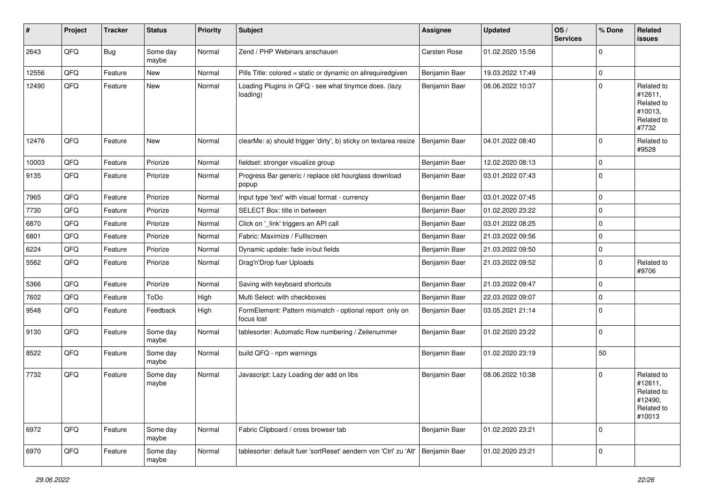| $\sharp$ | Project | <b>Tracker</b> | <b>Status</b>     | <b>Priority</b> | <b>Subject</b>                                                        | <b>Assignee</b> | <b>Updated</b>   | $\log$<br><b>Services</b> | % Done      | Related<br><b>issues</b>                                               |
|----------|---------|----------------|-------------------|-----------------|-----------------------------------------------------------------------|-----------------|------------------|---------------------------|-------------|------------------------------------------------------------------------|
| 2643     | QFQ     | Bug            | Some day<br>maybe | Normal          | Zend / PHP Webinars anschauen                                         | Carsten Rose    | 01.02.2020 15:56 |                           | $\Omega$    |                                                                        |
| 12556    | QFQ     | Feature        | New               | Normal          | Pills Title: colored = static or dynamic on allrequiredgiven          | Benjamin Baer   | 19.03.2022 17:49 |                           | $\mathbf 0$ |                                                                        |
| 12490    | QFQ     | Feature        | New               | Normal          | Loading Plugins in QFQ - see what tinymce does. (lazy<br>loading)     | Benjamin Baer   | 08.06.2022 10:37 |                           | $\Omega$    | Related to<br>#12611,<br>Related to<br>#10013,<br>Related to<br>#7732  |
| 12476    | QFQ     | Feature        | New               | Normal          | clearMe: a) should trigger 'dirty', b) sticky on textarea resize      | Benjamin Baer   | 04.01.2022 08:40 |                           | $\Omega$    | Related to<br>#9528                                                    |
| 10003    | QFQ     | Feature        | Priorize          | Normal          | fieldset: stronger visualize group                                    | Benjamin Baer   | 12.02.2020 08:13 |                           | $\Omega$    |                                                                        |
| 9135     | QFQ     | Feature        | Priorize          | Normal          | Progress Bar generic / replace old hourglass download<br>popup        | Benjamin Baer   | 03.01.2022 07:43 |                           | $\Omega$    |                                                                        |
| 7965     | QFQ     | Feature        | Priorize          | Normal          | Input type 'text' with visual format - currency                       | Benjamin Baer   | 03.01.2022 07:45 |                           | 0           |                                                                        |
| 7730     | QFQ     | Feature        | Priorize          | Normal          | SELECT Box: title in between                                          | Benjamin Baer   | 01.02.2020 23:22 |                           | $\Omega$    |                                                                        |
| 6870     | QFQ     | Feature        | Priorize          | Normal          | Click on '_link' triggers an API call                                 | Benjamin Baer   | 03.01.2022 08:25 |                           | $\Omega$    |                                                                        |
| 6801     | QFQ     | Feature        | Priorize          | Normal          | Fabric: Maximize / FullIscreen                                        | Benjamin Baer   | 21.03.2022 09:56 |                           | $\Omega$    |                                                                        |
| 6224     | QFQ     | Feature        | Priorize          | Normal          | Dynamic update: fade in/out fields                                    | Benjamin Baer   | 21.03.2022 09:50 |                           | $\Omega$    |                                                                        |
| 5562     | QFQ     | Feature        | Priorize          | Normal          | Drag'n'Drop fuer Uploads                                              | Benjamin Baer   | 21.03.2022 09:52 |                           | $\Omega$    | Related to<br>#9706                                                    |
| 5366     | QFQ     | Feature        | Priorize          | Normal          | Saving with keyboard shortcuts                                        | Benjamin Baer   | 21.03.2022 09:47 |                           | $\Omega$    |                                                                        |
| 7602     | QFQ     | Feature        | ToDo              | High            | Multi Select: with checkboxes                                         | Benjamin Baer   | 22.03.2022 09:07 |                           | $\Omega$    |                                                                        |
| 9548     | QFQ     | Feature        | Feedback          | High            | FormElement: Pattern mismatch - optional report only on<br>focus lost | Benjamin Baer   | 03.05.2021 21:14 |                           | $\Omega$    |                                                                        |
| 9130     | QFQ     | Feature        | Some day<br>maybe | Normal          | tablesorter: Automatic Row numbering / Zeilenummer                    | Benjamin Baer   | 01.02.2020 23:22 |                           | $\Omega$    |                                                                        |
| 8522     | QFQ     | Feature        | Some day<br>maybe | Normal          | build QFQ - npm warnings                                              | Benjamin Baer   | 01.02.2020 23:19 |                           | 50          |                                                                        |
| 7732     | QFQ     | Feature        | Some day<br>maybe | Normal          | Javascript: Lazy Loading der add on libs                              | Benjamin Baer   | 08.06.2022 10:38 |                           | $\Omega$    | Related to<br>#12611,<br>Related to<br>#12490,<br>Related to<br>#10013 |
| 6972     | QFQ     | Feature        | Some day<br>maybe | Normal          | Fabric Clipboard / cross browser tab                                  | Benjamin Baer   | 01.02.2020 23:21 |                           | 0           |                                                                        |
| 6970     | QFQ     | Feature        | Some day<br>maybe | Normal          | tablesorter: default fuer 'sortReset' aendern von 'Ctrl' zu 'Alt'     | Benjamin Baer   | 01.02.2020 23:21 |                           | $\mathbf 0$ |                                                                        |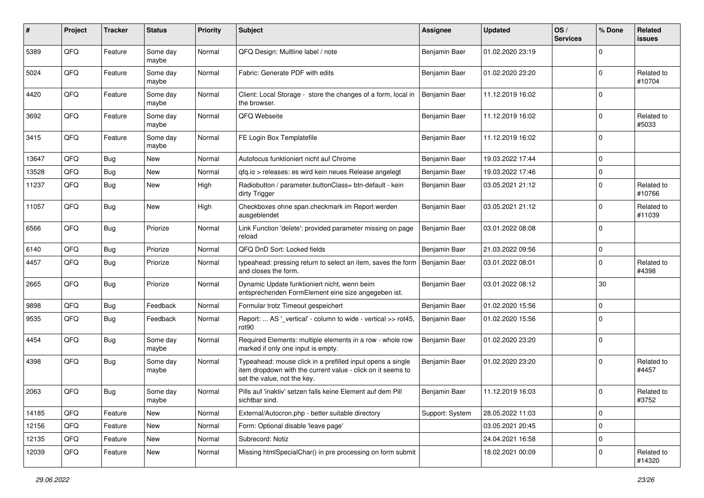| $\pmb{\#}$ | Project | <b>Tracker</b> | <b>Status</b>     | <b>Priority</b> | Subject                                                                                                                                                  | Assignee        | Updated          | OS/<br><b>Services</b> | % Done      | Related<br>issues    |
|------------|---------|----------------|-------------------|-----------------|----------------------------------------------------------------------------------------------------------------------------------------------------------|-----------------|------------------|------------------------|-------------|----------------------|
| 5389       | QFQ     | Feature        | Some day<br>maybe | Normal          | QFQ Design: Multline label / note                                                                                                                        | Benjamin Baer   | 01.02.2020 23:19 |                        | $\Omega$    |                      |
| 5024       | QFQ     | Feature        | Some day<br>maybe | Normal          | Fabric: Generate PDF with edits                                                                                                                          | Benjamin Baer   | 01.02.2020 23:20 |                        | $\Omega$    | Related to<br>#10704 |
| 4420       | QFQ     | Feature        | Some day<br>maybe | Normal          | Client: Local Storage - store the changes of a form, local in<br>the browser.                                                                            | Benjamin Baer   | 11.12.2019 16:02 |                        | $\Omega$    |                      |
| 3692       | QFQ     | Feature        | Some day<br>maybe | Normal          | QFQ Webseite                                                                                                                                             | Benjamin Baer   | 11.12.2019 16:02 |                        | $\mathbf 0$ | Related to<br>#5033  |
| 3415       | QFQ     | Feature        | Some day<br>maybe | Normal          | FE Login Box Templatefile                                                                                                                                | Benjamin Baer   | 11.12.2019 16:02 |                        | $\Omega$    |                      |
| 13647      | QFQ     | <b>Bug</b>     | New               | Normal          | Autofocus funktioniert nicht auf Chrome                                                                                                                  | Benjamin Baer   | 19.03.2022 17:44 |                        | $\Omega$    |                      |
| 13528      | QFQ     | <b>Bug</b>     | <b>New</b>        | Normal          | gfg.io > releases: es wird kein neues Release angelegt                                                                                                   | Benjamin Baer   | 19.03.2022 17:46 |                        | $\mathbf 0$ |                      |
| 11237      | QFQ     | <b>Bug</b>     | New               | High            | Radiobutton / parameter.buttonClass= btn-default - kein<br>dirty Trigger                                                                                 | Benjamin Baer   | 03.05.2021 21:12 |                        | $\Omega$    | Related to<br>#10766 |
| 11057      | QFQ     | <b>Bug</b>     | <b>New</b>        | High            | Checkboxes ohne span.checkmark im Report werden<br>ausgeblendet                                                                                          | Benjamin Baer   | 03.05.2021 21:12 |                        | $\Omega$    | Related to<br>#11039 |
| 6566       | QFQ     | <b>Bug</b>     | Priorize          | Normal          | Link Function 'delete': provided parameter missing on page<br>reload                                                                                     | Benjamin Baer   | 03.01.2022 08:08 |                        | $\Omega$    |                      |
| 6140       | QFQ     | <b>Bug</b>     | Priorize          | Normal          | QFQ DnD Sort: Locked fields                                                                                                                              | Benjamin Baer   | 21.03.2022 09:56 |                        | $\Omega$    |                      |
| 4457       | QFQ     | <b>Bug</b>     | Priorize          | Normal          | typeahead: pressing return to select an item, saves the form   Benjamin Baer<br>and closes the form.                                                     |                 | 03.01.2022 08:01 |                        | $\Omega$    | Related to<br>#4398  |
| 2665       | QFQ     | <b>Bug</b>     | Priorize          | Normal          | Dynamic Update funktioniert nicht, wenn beim<br>entsprechenden FormElement eine size angegeben ist.                                                      | Benjamin Baer   | 03.01.2022 08:12 |                        | 30          |                      |
| 9898       | QFQ     | Bug            | Feedback          | Normal          | Formular trotz Timeout gespeichert                                                                                                                       | Benjamin Baer   | 01.02.2020 15:56 |                        | $\Omega$    |                      |
| 9535       | QFQ     | <b>Bug</b>     | Feedback          | Normal          | Report:  AS '_vertical' - column to wide - vertical >> rot45,<br>rot90                                                                                   | Benjamin Baer   | 01.02.2020 15:56 |                        | $\Omega$    |                      |
| 4454       | QFQ     | <b>Bug</b>     | Some day<br>maybe | Normal          | Required Elements: multiple elements in a row - whole row<br>marked if only one input is empty.                                                          | Benjamin Baer   | 01.02.2020 23:20 |                        | $\Omega$    |                      |
| 4398       | QFQ     | <b>Bug</b>     | Some day<br>maybe | Normal          | Typeahead: mouse click in a prefilled input opens a single<br>item dropdown with the current value - click on it seems to<br>set the value, not the key. | Benjamin Baer   | 01.02.2020 23:20 |                        | $\mathbf 0$ | Related to<br>#4457  |
| 2063       | QFQ     | <b>Bug</b>     | Some day<br>maybe | Normal          | Pills auf 'inaktiv' setzen falls keine Element auf dem Pill<br>sichtbar sind.                                                                            | Benjamin Baer   | 11.12.2019 16:03 |                        | $\Omega$    | Related to<br>#3752  |
| 14185      | QFQ     | Feature        | <b>New</b>        | Normal          | External/Autocron.php - better suitable directory                                                                                                        | Support: System | 28.05.2022 11:03 |                        | 0           |                      |
| 12156      | QFQ     | Feature        | New               | Normal          | Form: Optional disable 'leave page'                                                                                                                      |                 | 03.05.2021 20:45 |                        | $\mathbf 0$ |                      |
| 12135      | QFQ     | Feature        | New               | Normal          | Subrecord: Notiz                                                                                                                                         |                 | 24.04.2021 16:58 |                        | $\mathbf 0$ |                      |
| 12039      | QFQ     | Feature        | New               | Normal          | Missing htmlSpecialChar() in pre processing on form submit                                                                                               |                 | 18.02.2021 00:09 |                        | 0           | Related to<br>#14320 |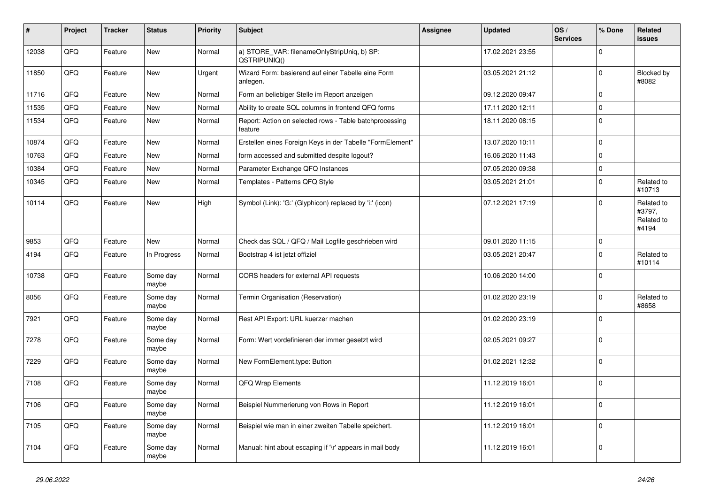| #     | Project | <b>Tracker</b> | <b>Status</b>     | <b>Priority</b> | <b>Subject</b>                                                     | <b>Assignee</b> | <b>Updated</b>   | OS/<br><b>Services</b> | % Done      | Related<br><b>issues</b>                    |
|-------|---------|----------------|-------------------|-----------------|--------------------------------------------------------------------|-----------------|------------------|------------------------|-------------|---------------------------------------------|
| 12038 | QFQ     | Feature        | New               | Normal          | a) STORE_VAR: filenameOnlyStripUniq, b) SP:<br>QSTRIPUNIQ()        |                 | 17.02.2021 23:55 |                        | $\mathbf 0$ |                                             |
| 11850 | QFQ     | Feature        | New               | Urgent          | Wizard Form: basierend auf einer Tabelle eine Form<br>anlegen.     |                 | 03.05.2021 21:12 |                        | $\mathbf 0$ | Blocked by<br>#8082                         |
| 11716 | QFQ     | Feature        | <b>New</b>        | Normal          | Form an beliebiger Stelle im Report anzeigen                       |                 | 09.12.2020 09:47 |                        | 0           |                                             |
| 11535 | QFQ     | Feature        | <b>New</b>        | Normal          | Ability to create SQL columns in frontend QFQ forms                |                 | 17.11.2020 12:11 |                        | $\mathbf 0$ |                                             |
| 11534 | QFQ     | Feature        | <b>New</b>        | Normal          | Report: Action on selected rows - Table batchprocessing<br>feature |                 | 18.11.2020 08:15 |                        | $\mathbf 0$ |                                             |
| 10874 | QFQ     | Feature        | <b>New</b>        | Normal          | Erstellen eines Foreign Keys in der Tabelle "FormElement"          |                 | 13.07.2020 10:11 |                        | $\mathbf 0$ |                                             |
| 10763 | QFQ     | Feature        | New               | Normal          | form accessed and submitted despite logout?                        |                 | 16.06.2020 11:43 |                        | $\pmb{0}$   |                                             |
| 10384 | QFQ     | Feature        | New               | Normal          | Parameter Exchange QFQ Instances                                   |                 | 07.05.2020 09:38 |                        | $\mathbf 0$ |                                             |
| 10345 | QFQ     | Feature        | <b>New</b>        | Normal          | Templates - Patterns QFQ Style                                     |                 | 03.05.2021 21:01 |                        | $\mathbf 0$ | Related to<br>#10713                        |
| 10114 | QFQ     | Feature        | New               | High            | Symbol (Link): 'G:' (Glyphicon) replaced by 'i:' (icon)            |                 | 07.12.2021 17:19 |                        | $\mathbf 0$ | Related to<br>#3797,<br>Related to<br>#4194 |
| 9853  | QFQ     | Feature        | <b>New</b>        | Normal          | Check das SQL / QFQ / Mail Logfile geschrieben wird                |                 | 09.01.2020 11:15 |                        | $\mathbf 0$ |                                             |
| 4194  | QFQ     | Feature        | In Progress       | Normal          | Bootstrap 4 ist jetzt offiziel                                     |                 | 03.05.2021 20:47 |                        | $\mathbf 0$ | Related to<br>#10114                        |
| 10738 | QFQ     | Feature        | Some day<br>maybe | Normal          | CORS headers for external API requests                             |                 | 10.06.2020 14:00 |                        | $\mathbf 0$ |                                             |
| 8056  | QFQ     | Feature        | Some day<br>maybe | Normal          | Termin Organisation (Reservation)                                  |                 | 01.02.2020 23:19 |                        | $\mathbf 0$ | Related to<br>#8658                         |
| 7921  | QFQ     | Feature        | Some day<br>maybe | Normal          | Rest API Export: URL kuerzer machen                                |                 | 01.02.2020 23:19 |                        | $\mathbf 0$ |                                             |
| 7278  | QFQ     | Feature        | Some day<br>maybe | Normal          | Form: Wert vordefinieren der immer gesetzt wird                    |                 | 02.05.2021 09:27 |                        | $\mathbf 0$ |                                             |
| 7229  | QFQ     | Feature        | Some day<br>maybe | Normal          | New FormElement.type: Button                                       |                 | 01.02.2021 12:32 |                        | $\mathbf 0$ |                                             |
| 7108  | QFQ     | Feature        | Some day<br>maybe | Normal          | <b>QFQ Wrap Elements</b>                                           |                 | 11.12.2019 16:01 |                        | $\mathbf 0$ |                                             |
| 7106  | QFQ     | Feature        | Some day<br>maybe | Normal          | Beispiel Nummerierung von Rows in Report                           |                 | 11.12.2019 16:01 |                        | $\mathbf 0$ |                                             |
| 7105  | QFQ     | Feature        | Some day<br>maybe | Normal          | Beispiel wie man in einer zweiten Tabelle speichert.               |                 | 11.12.2019 16:01 |                        | $\pmb{0}$   |                                             |
| 7104  | QFQ     | Feature        | Some day<br>maybe | Normal          | Manual: hint about escaping if '\r' appears in mail body           |                 | 11.12.2019 16:01 |                        | $\pmb{0}$   |                                             |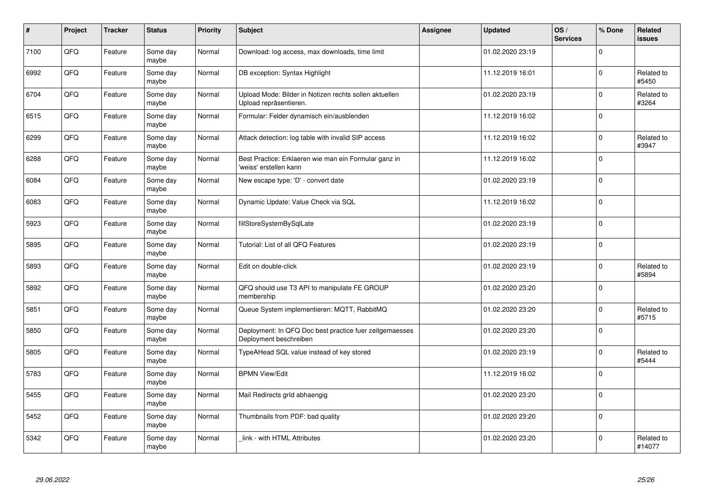| #    | Project    | <b>Tracker</b> | <b>Status</b>     | <b>Priority</b> | <b>Subject</b>                                                                    | Assignee | <b>Updated</b>   | OS/<br><b>Services</b> | % Done      | Related<br><b>issues</b> |
|------|------------|----------------|-------------------|-----------------|-----------------------------------------------------------------------------------|----------|------------------|------------------------|-------------|--------------------------|
| 7100 | QFQ        | Feature        | Some day<br>maybe | Normal          | Download: log access, max downloads, time limit                                   |          | 01.02.2020 23:19 |                        | $\Omega$    |                          |
| 6992 | QFQ        | Feature        | Some day<br>maybe | Normal          | DB exception: Syntax Highlight                                                    |          | 11.12.2019 16:01 |                        | $\mathbf 0$ | Related to<br>#5450      |
| 6704 | QFQ        | Feature        | Some day<br>maybe | Normal          | Upload Mode: Bilder in Notizen rechts sollen aktuellen<br>Upload repräsentieren.  |          | 01.02.2020 23:19 |                        | $\pmb{0}$   | Related to<br>#3264      |
| 6515 | QFQ        | Feature        | Some day<br>maybe | Normal          | Formular: Felder dynamisch ein/ausblenden                                         |          | 11.12.2019 16:02 |                        | $\Omega$    |                          |
| 6299 | QFQ        | Feature        | Some day<br>maybe | Normal          | Attack detection: log table with invalid SIP access                               |          | 11.12.2019 16:02 |                        | $\mathbf 0$ | Related to<br>#3947      |
| 6288 | <b>OFO</b> | Feature        | Some day<br>maybe | Normal          | Best Practice: Erklaeren wie man ein Formular ganz in<br>'weiss' erstellen kann   |          | 11.12.2019 16:02 |                        | $\Omega$    |                          |
| 6084 | QFQ        | Feature        | Some day<br>maybe | Normal          | New escape type: 'D' - convert date                                               |          | 01.02.2020 23:19 |                        | $\mathbf 0$ |                          |
| 6083 | QFQ        | Feature        | Some day<br>maybe | Normal          | Dynamic Update: Value Check via SQL                                               |          | 11.12.2019 16:02 |                        | $\mathbf 0$ |                          |
| 5923 | QFQ        | Feature        | Some day<br>maybe | Normal          | fillStoreSystemBySqlLate                                                          |          | 01.02.2020 23:19 |                        | $\Omega$    |                          |
| 5895 | QFQ        | Feature        | Some day<br>maybe | Normal          | Tutorial: List of all QFQ Features                                                |          | 01.02.2020 23:19 |                        | $\mathbf 0$ |                          |
| 5893 | QFQ        | Feature        | Some day<br>maybe | Normal          | Edit on double-click                                                              |          | 01.02.2020 23:19 |                        | $\mathbf 0$ | Related to<br>#5894      |
| 5892 | QFQ        | Feature        | Some day<br>maybe | Normal          | QFQ should use T3 API to manipulate FE GROUP<br>membership                        |          | 01.02.2020 23:20 |                        | $\mathbf 0$ |                          |
| 5851 | QFQ        | Feature        | Some day<br>maybe | Normal          | Queue System implementieren: MQTT, RabbitMQ                                       |          | 01.02.2020 23:20 |                        | $\Omega$    | Related to<br>#5715      |
| 5850 | QFQ        | Feature        | Some day<br>maybe | Normal          | Deployment: In QFQ Doc best practice fuer zeitgemaesses<br>Deployment beschreiben |          | 01.02.2020 23:20 |                        | $\mathbf 0$ |                          |
| 5805 | QFQ        | Feature        | Some day<br>maybe | Normal          | TypeAHead SQL value instead of key stored                                         |          | 01.02.2020 23:19 |                        | $\Omega$    | Related to<br>#5444      |
| 5783 | QFQ        | Feature        | Some day<br>maybe | Normal          | <b>BPMN View/Edit</b>                                                             |          | 11.12.2019 16:02 |                        | $\Omega$    |                          |
| 5455 | QFQ        | Feature        | Some day<br>maybe | Normal          | Mail Redirects grld abhaengig                                                     |          | 01.02.2020 23:20 |                        | $\Omega$    |                          |
| 5452 | QFQ        | Feature        | Some day<br>maybe | Normal          | Thumbnails from PDF: bad quality                                                  |          | 01.02.2020 23:20 |                        | $\mathbf 0$ |                          |
| 5342 | QFQ        | Feature        | Some day<br>maybe | Normal          | link - with HTML Attributes                                                       |          | 01.02.2020 23:20 |                        | $\Omega$    | Related to<br>#14077     |